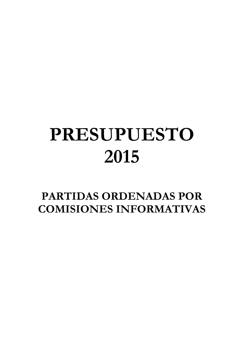## **PRESUPUESTO 2015**

**PARTIDAS ORDENADAS POR COMISIONES INFORMATIVAS**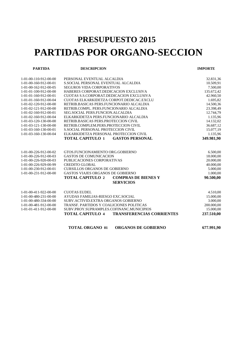## **PRESUPUESTO 2015 PARTIDAS POR ORGANO-SECCION**

| <b>PARTIDA</b>          | <b>DESCRIPCION</b>                                          | <b>IMPORTE</b> |
|-------------------------|-------------------------------------------------------------|----------------|
| 1-01-00-110-912-00-00   | PERSONAL EVENTUAL ALCALDIA                                  | 32.831,36      |
| 1-01-00-160-912-00-01   | S.SOCIAL PERSONAL EVENTUAL ALCALDIA                         | 10.509,91      |
| 1-01-00-162-912-00-05   | <b>SEGUROS VIDA CORPORATIVOS</b>                            | 7.500,00       |
| 1-01-01-100-912-00-00   | HABERES CORPORAT.DEDICACION EXCLUSIVA                       | 135.672,42     |
| 1-01-01-160-912-00-01   | CUOTAS S.S.CORPORAT.DEDICACION EXCLUSIVA                    | 42.960,50      |
| 1-01-01-160-912-00-04   | CUOTAS ELKARKIDETZA CORPOT.DEDICAC.EXCLU                    | 1.695,82       |
| 1-01-02-120-912-00-00   | RETRIB.BASICAS PERS.FUNCIONARIO ALCALDIA                    | 14.500,36      |
| 1-01-02-121-912-00-00   | RETRIB.COMPL. PERS.FUNCIONARIO ALCALDIA                     | 23.398,49      |
| 1-01-02-160-912-00-01   | SEG.SOCIAL PERS.FUNCION.ALCALDIA                            | 12.744,79      |
| 1-01-02-160-912-00-04   | ELKARKIDETZA PERS.FUNCIONARIO ALCALDIA                      | 1.135,96       |
| 1-01-03-120-130-00-00   | RETRIB.BASICAS PERS.PROTECCION CIVIL                        | 14.132,02      |
| 1-01-03-121-130-00-00   | RETRIB.COMPLEM.PERS.PROTECCION CIVIL                        | 36.687,12      |
| 1-01-03-160-130-00-01   | S.SOCIAL PERSONAL PROTECCION CIVIL                          | 15.077,19      |
| 1-01-03-160-130-00-04   | ELKARKIDETZA PERSONAL PROTECCION CIVIL                      | 1.135,96       |
|                         | TOTAL CAPITULO 1<br><b>GASTOS PERSONAL</b>                  | 349.981,90     |
|                         |                                                             |                |
| 1-01-00-226-912-00-02   | GTOS.FUNCIONAMIENTO ORG.GOBIERNO                            | 6.500,00       |
| 1-01-00-226-912-00-03   | <b>GASTOS DE COMUNICACION</b>                               | 18.000,00      |
| 1-01-00-226-920-00-03   | PUBLICACIONES CORPORATIVAS                                  | 20.000,00      |
| 1-01-00-226-929-00-99   | <b>CREDITO GLOBAL</b>                                       | 40.000,00      |
| 1-01-00-230-912-00-01   | <b>CURSILLOS ORGANOS DE GOBIERNO</b>                        | 5.000,00       |
| 1-01-00-231-912-00-00   | GASTOS VIAJES ORGANOS DE GOBIERNO                           | 1.000,00       |
|                         | <b>TOTAL CAPITULO 2</b><br><b>COMPRAS DE BIENES Y</b>       | 90.500,00      |
|                         | <b>SERVICIOS</b>                                            |                |
| $1-01-00-411-922-00-00$ | <b>CUOTAS EUDEL</b>                                         | 4.510,00       |
| 1-01-00-480-231-00-00   | AYUDAS FAMILIAS-RIESGO EXC.SOCIAL                           | 15.000,00      |
| 1-01-00-480-334-00-00   | SUBV.ACTIVID.EXTRA ORGANOS GOBIERNO                         | 3.000,00       |
| 1-01-00-481-912-00-00   | TRANSF. PARTIDOS Y COALICIONES POLITICAS                    | 200.000,00     |
| 1-01-01-411-912-00-00   | SUBV.PROY.SUPRAMPLES.COFINANC.MUNICIPIOS                    | 15.000,00      |
|                         | <b>TOTAL CAPITULO 4</b><br><b>TRANSFERENCIAS CORRIENTES</b> | 237.510,00     |
|                         |                                                             |                |

**TOTAL ORGANO 01 ORGANOS DE GOBIERNO 677.991,90**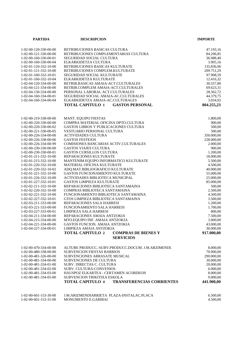| <b>PARTIDA</b>                                 | <b>DESCRIPCION</b>                                                                      | <b>IMPORTE</b>         |
|------------------------------------------------|-----------------------------------------------------------------------------------------|------------------------|
| 1-02-00-120-330-00-00<br>1-02-00-121-330-00-00 | RETRIBUCIONES BASICAS CULTURA<br>RETRIBUCIONES COMPLEMENTARIAS CULTURA                  | 47.193,16<br>84.296,85 |
| 1-02-00-160-330-00-01                          | SEGURIDAD SOCIAL CULTURA                                                                | 36.988,40              |
| 1-02-00-160-330-00-04                          | ELKARKIDETZA CULTURA                                                                    | 3.905,16               |
| 1-02-01-120-332-10-00                          | RETRIBUCIONES BASICAS KULTURATE                                                         | 135.836,96             |
| 1-02-01-121-332-10-00                          | RETRIBUCIONES COMPLEM.KULTURATE                                                         | 209.751,29             |
| 1-02-01-160-332-10-01                          | SEGURIDAD SOCIAL KULTURATE                                                              | 97.908,59              |
| 1-02-01-160-332-10-04                          | ELKARKIDETZA KULTURATE                                                                  | 12.416,32              |
| 1-02-04-120-334-00-00                          | RETRIB.BASICAS AMAIA-ACT.CULTURALES                                                     | 30.557,80              |
| 1-02-04-121-334-00-00                          | RETRIB.COMPLEM AMAIA-ACT.CULTURALES                                                     | 69.623,31              |
| 1-02-04-130-334-00-00                          | PERSONAL LABORAL ACT.CULTURALES                                                         | 28.362,72              |
| 1-02-04-160-334-00-01                          | SEGURIDAD SOCIAL AMAIA-AC.CULTURALES                                                    | 44.379,75              |
| 1-02-04-160-334-00-04                          | ELKARKIDETZA AMAIA-AC.CULTURALES<br><b>TOTAL CAPITULO 1</b><br><b>GASTOS PERSONAL</b>   | 3.034,92<br>804.255,23 |
|                                                |                                                                                         |                        |
| 1-02-00-219-338-00-00                          | MANT. EQUIPO FIESTAS                                                                    | 1.800,00               |
| 1-02-00-220-330-00-00                          | COMPRA MATERIAL OFICINA DPTO.CULTURA                                                    | 900,00                 |
| 1-02-00-220-330-00-02                          | <b>GASTOS LIBROS Y PUBLICACIONES CULTURA</b>                                            | 500,00                 |
| 1-02-00-221-330-00-05                          | <b>VESTUARIO PERSONAL CULTURA</b>                                                       | 500,00                 |
| 1-02-00-226-334-00-00<br>1-02-00-226-338-00-06 | <b>ACTIVIDADES CULTURA</b><br><b>GASTOS FESTEJOS</b>                                    | 350.000,00             |
| 1-02-00-226-334-00-99                          | COMISIONES BANCARIAS ACTIV.CULTURALES                                                   | 228.000,00<br>2.000,00 |
| 1-02-00-230-330-00-00                          | <b>GASTOS VIAJES CULTURA</b>                                                            | 900,00                 |
| 1-02-00-230-330-00-01                          | <b>GASTOS CURSILLOS CULTURA</b>                                                         | 1.200,00               |
| 1-02-01-211-332-10-00                          | REPARACIONES KULTURATE                                                                  | 18.000,00              |
| 1-02-01-215-332-10-00                          | MANTENIM.EQUIPO INFORMATICO KULTURATE                                                   | 5.500,00               |
| 1-02-01-220-332-10-00                          | MATERIAL OFICINA KULTURATE                                                              | 4.500,00               |
| 1-02-01-220-332-10-02                          | ADQ.MAT.BIBLIOGRAFICO KULTURATE                                                         | 40.000,00              |
| 1-02-01-221-332-10-00                          | GASTOS FUNCIONAMIENTO KULTURATE                                                         | 55.000,00              |
| 1-02-01-226-332-10-00                          | ACTIVIDADES BIBLIOTECA MUNICIPAL                                                        | 25.000,00              |
| 1-02-01-227-332-10-01                          | GASTOS LIMPIEZA KULTURATE                                                               | 85.000,00              |
| 1-02-02-211-332-10-00                          | REPARACIONES BIBLIOTECA SANTAMAINA                                                      | 500,00                 |
| 1-02-02-220-332-10-00<br>1-02-02-221-332-10-00 | COMPRAS BIBLIOTECA SANTAMAINA<br>FUNCIONAMIENTO BIBLIOTECA SANTAMAINA                   | 2.500,00<br>4.500,00   |
| 1-02-02-227-332-10-01                          | GTOS LIMPIEZA BIBLIOTECA SANTAMAINA                                                     | 3.500,00               |
| 1-02-03-211-333-00-00                          | REPARACIONES SALA HARRESI                                                               | 1.200,00               |
| 1-02-03-221-333-00-00                          | FUNCIONAMIENTO SALA HARRESI                                                             | 1.700,00               |
| 1-02-03-227-333-00-01                          | LIMPIEZA SALA HARRESI                                                                   | 800,00                 |
| 1-02-04-211-334-00-00                          | REPARACIONES AMAIA ANTZOKIA                                                             | 7.500,00               |
| 1-02-04-215-334-00-00                          | MTO.EQUIPO INF. AMAIA ANTZOKIA                                                          | 3.000,00               |
| 1-02-04-221-334-00-00                          | <b>GASTOS FUNCION. AMAIA ANTZOKIA</b>                                                   | 43.000,00              |
| 1-02-04-227-334-00-01                          | LIMPIEZA AMAIA ANTZOKIA                                                                 | 30.000,00              |
|                                                | <b>TOTAL CAPITULO 2</b><br><b>COMPRAS DE BIENES Y</b><br><b>SERVICIOS</b>               | 917.000,00             |
|                                                |                                                                                         |                        |
| 1-02-00-470-334-00-00<br>1-02-00-480-338-00-00 | ALTUBE PRODUCC.-SUBV.PRODUCC.DOCUM. J.M.ARZIMENDI.<br><b>SUBVENCION FIESTAS BARRIOS</b> | 8.000,00<br>70.900,00  |
| 1-02-00-481-326-00-00                          | SUBVENCIONES ARRASATE MUSICAL                                                           | 290.000,00             |
| 1-02-00-481-334-00-00                          | <b>SUBVENCIONES DE CULTURA</b>                                                          | 30.000,00              |
| 1-02-00-481-334-01-00                          | SUBV. DIRECTAS C. CULTURA                                                               | 20.000,00              |
| 1-02-00-481-334-02-00                          | <b>SUBV. CULTURA-CONVENIOS</b>                                                          | 6.000,00               |
| 1-02-00-481-334-03-00                          | HAUSPOZ ELKARTEA - CERTAMEN ACORDEON                                                    | 8.000,00               |
| 1-02-00-481-334-05-00                          | SUBVENCION TRIKITIXA ESKOLA                                                             | 9.000,00               |
|                                                | <b>TOTAL CAPITULO 4</b><br><b>TRANSFERENCIAS CORRIENTES</b>                             | 441.900,00             |
|                                                |                                                                                         |                        |
| 1-02-00-601-153-30-00                          | J.M.ARIZMENDIARRIETA PLAZA-INSTALAC.PLACA                                               | 6.500,00               |
| 1-02-00-601-153-31-00                          | MONUMENTO E.GARIBAI                                                                     | 4.500,00               |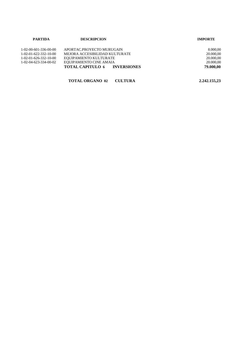| <b>PARTIDA</b>                      | <b>DESCRIPCION</b>                  | <b>IMPORTE</b> |
|-------------------------------------|-------------------------------------|----------------|
| $1 - 02 - 00 - 601 - 336 - 00 - 00$ | APORTAC.PROYECTO MURUGAIN           | 8.000,00       |
| 1-02-01-622-332-10-00               | MEJORA ACCESIBILIDAD KULTURATE      | 20.000,00      |
| $1-02-01-626-332-10-00$             | EQUIPAMIENTO KULTURATE              | 20.000,00      |
| 1-02-04-623-334-00-02               | EQUIPAMIENTO CINE AMAIA             | 20.000,00      |
|                                     | <b>TOTAL CAPITULO 6 INVERSIONES</b> | 79.000.00      |

| TOTAL ORGANO 02 CULTURA | 2.242.155,23 |
|-------------------------|--------------|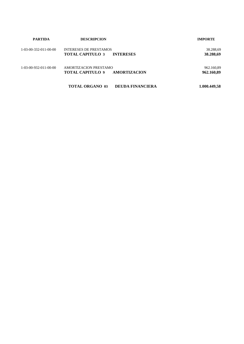| <b>PARTIDA</b>                      | <b>DESCRIPCION</b>                                                           | <b>IMPORTE</b>           |
|-------------------------------------|------------------------------------------------------------------------------|--------------------------|
| $1 - 03 - 00 - 332 - 011 - 00 - 00$ | <b>INTERESES DE PRESTAMOS</b><br><b>INTERESES</b><br><b>TOTAL CAPITULO 3</b> | 38.288,69<br>38.288,69   |
| $1 - 03 - 00 - 932 - 011 - 00 - 00$ | AMORTIZACION PRESTAMO<br>AMORTIZACION<br><b>TOTAL CAPITULO 9</b>             | 962.160,89<br>962.160,89 |
|                                     | <b>TOTAL ORGANO 03</b><br><b>DEUDA FINANCIERA</b>                            | 1.000.449,58             |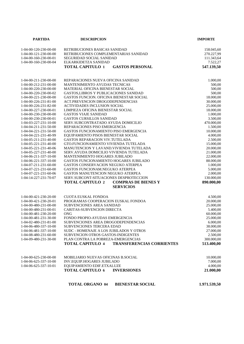| <b>PARTIDA</b>                                 | <b>DESCRIPCION</b>                                                          | <b>IMPORTE</b>        |
|------------------------------------------------|-----------------------------------------------------------------------------|-----------------------|
|                                                |                                                                             |                       |
| 1-04-00-120-230-00-00                          | RETRIBUCIONES BASICAS SANIDAD                                               | 158.045,60            |
| 1-04-00-121-230-00-00                          | RETRIBUCIONES COMPLEMENTARIAS SANIDAD                                       | 270.227,99            |
| $1-04-00-160-230-00-01$                        | SEGURIDAD SOCIAL SANIDAD                                                    | 111.343,64            |
| 1-04-00-160-230-00-04                          | ELKARKIDETZA SANIDAD                                                        | 7.522,27              |
|                                                | <b>TOTAL CAPITULO 1</b><br><b>GASTOS PERSONAL</b>                           | 547.139,50            |
|                                                |                                                                             |                       |
| 1-04-00-211-230-00-00                          | REPARACIONES NUEVA OFICINA SANIDAD                                          | 1.000,00              |
| 1-04-00-212-231-00-00<br>1-04-00-220-230-00-00 | MANTENIMIENTO AYUDAS TECNICAS<br>MATERIAL OFICINA BIENESTAR SOCIAL          | 500,00<br>500,00      |
| 1-04-00-220-230-00-02                          | <b>GASTOS,LIBROS Y PUBLICACIONES SANIDAD</b>                                | 500,00                |
| 1-04-00-221-230-00-00                          | GASTOS FUNCION. OFICINA BIENESTAR SOCIAL                                    | 18.000,00             |
| 1-04-00-226-231-81-00                          | ACT.PREVENCION DROGODEPENDENCIAS                                            | 30.000,00             |
| 1-04-00-226-231-82-00                          | <b>ACTIVIDADES INCLUSION SOCIAL</b>                                         | 25.000,00             |
| 1-04-00-227-230-00-01                          | LIMPIEZA OFICINA BIENESTAR SOCIAL                                           | 18.000,00             |
| 1-04-00-230-230-00-00                          | <b>GASTOS VIAJE SANIDAD</b>                                                 | 1.000,00              |
| 1-04-00-230-230-00-01                          | <b>GASTOS CURSILLOS SANIDAD</b>                                             | 3.500,00              |
| 1-04-03-227-231-10-00                          | SERV.SUBCONTRATADO AYUDA DOMICILIO                                          | 470.000,00            |
| 1-04-04-211-231-50-00                          | REPARACIONES PISO EMERGENCIA                                                | 1.500,00              |
| 1-04-04-221-231-50-00                          | GASTOS FUNCIONAMIENTO PISO EMERGENCIA                                       | 10.000,00             |
| 1-04-04-221-231-40-99                          | EQUIPAMIENTO PISOS BIENESTAR SOCIAL                                         | 4.000,00              |
| 1-04-05-211-231-40-00                          | <b>GASTOS REPARACION VIV.TUTELADA</b>                                       | 2.500,00              |
| 1-04-05-221-231-40-00                          | GTO.FUNCIONAMIENTO VIVIENDA TUTELADA                                        | 15.000,00             |
| 1-04-05-221-231-40-06                          | MANUTENCION Y LAVAND. VIVIENDA TUTELADA                                     | 20.000,00             |
| 1-04-05-227-231-40-00                          | SERV.AYUDA DOMICILIO VIVIENDA TUTELADA                                      | 21.000,00             |
| 1-04-06-211-337-10-00                          | MANTENIMIENTO HOGARES JUBILADO                                              | 22.000,00             |
| 1-04-06-221-337-10-00                          | GASTOS FUNCIONAMIENTO HOGARES JUBILADO                                      | 88.000,00             |
| 1-04-07-211-231-60-00                          | GASTOS CONSERVACION NEGUKO ATERPEA                                          | 1.000,00              |
| 1-04-07-221-231-60-00                          | GASTOS FUNCIONAM.NEGUKO ATERPEA                                             | 5.000,00              |
| 1-04-07-221-231-60-06<br>1-04-14-227-231-70-07 | GASTOS MANUTENCION NEGUKO ATERPEA<br>SERV.SUBCONT-SITUACIONES DESPROTECCION | 2.000,00              |
|                                                | <b>TOTAL CAPITULO 2</b><br><b>COMPRAS DE BIENES Y</b>                       | 130.000,00            |
|                                                | <b>SERVICIOS</b>                                                            | 890.000,00            |
|                                                |                                                                             |                       |
| 1-04-00-421-230-20-00                          | <b>CUOTA EUSKAL FONDOA</b>                                                  | 4.500,00              |
| 1-04-00-421-230-20-01                          | PROGRAMAS COOPERACION EUSKAL FONDOA<br>SUBVENCIONES AREA SANIDAD            | 20.000,00             |
| 1-04-00-480-231-00-00<br>1-04-00-480-231-00-01 | CARITAS-SUBVENCION DIRECTA                                                  | 25.000,00<br>5.400,00 |
| 1-04-00-481-230-20-00                          | <b>ONG</b>                                                                  | 60.000,00             |
| 1-04-00-481-231-30-00                          | FONDO PROPIO-AYUDAS EMERGENCIA                                              | 25.000,00             |
| 1-04-02-480-231-81-00                          | SUBVENCIONES AREA DROGODEPENDENCIAS                                         | 6.000,00              |
| 1-04-06-480-337-10-00                          | SUBVENCIONES TERCERA EDAD                                                   | 38.000,00             |
| 1-04-06-481-337-10-00                          | SUDC - HOMENAJE A LOS JUBILADOS Y OTROS                                     | 27.000,00             |
| 1-04-08-480-231-60-00                          | SUBVENCION OTROS GASTOS-INDIGENTES                                          | 2.500,00              |
| 1-04-09-480-231-30-00                          | PLAN CONTRA LA POBREZA-EMERGENCIAS                                          | 300.000,00            |
|                                                | <b>TRANSFERENCIAS CORRIENTES</b><br><b>TOTAL CAPITULO 4</b>                 | 513.400,00            |
|                                                |                                                                             |                       |
| 1-04-00-625-230-00-00                          | MOBILIARIO NUEVAS OFICINAS B.SOCIAL                                         | 10.000,00             |
| 1-04-06-625-337-10-00                          | INV.EQUIP.HOGARES JUBILADO                                                  | 7.000,00              |
| 1-04-06-625-337-10-01                          | EQUIPAMIENTO EDIF.ETXALUZE                                                  | 4.000,00              |
|                                                | <b>TOTAL CAPITULO 6</b><br><b>INVERSIONES</b>                               | 21.000,00             |
|                                                | <b>TOTAL ORGANO 04</b><br><b>BIENESTAR SOCIAL</b>                           | 1.971.539,50          |
|                                                |                                                                             |                       |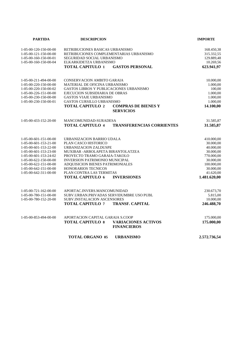| <b>PARTIDA</b>                                 | <b>DESCRIPCION</b>                                                        |                                                  | <b>IMPORTE</b>          |
|------------------------------------------------|---------------------------------------------------------------------------|--------------------------------------------------|-------------------------|
| 1-05-00-120-150-00-00                          | RETRIBUCIONES BASICAS URBANISMO                                           |                                                  | 168.450,38              |
| $1-05-00-121-150-00-00$                        | RETRIBUCIONES COMPLEMENTARIAS URBANISMO                                   |                                                  | 315.332,55              |
| 1-05-00-160-150-00-01                          | SEGURIDAD SOCIAL URBANISMO                                                |                                                  | 129.889,48              |
| 1-05-00-160-150-00-04                          | ELKARKIDETZA URBANISMO                                                    |                                                  | 10.269,56               |
|                                                | <b>TOTAL CAPITULO 1</b>                                                   | <b>GASTOS PERSONAL</b>                           | 623.941,97              |
| 1-05-00-211-494-00-00                          | CONSERVACION AMBITO GARAIA                                                |                                                  | 10.000,00               |
| 1-05-00-220-150-00-00                          | MATERIAL DE OFICINA URBANISMO                                             |                                                  | 1.000,00                |
| 1-05-00-220-150-00-02                          | <b>GASTOS LIBROS Y PUBLICACIONES URBANISMO</b>                            |                                                  | 100,00                  |
| 1-05-00-226-151-00-00                          | EJECUCION SUBSIDIARIA DE OBRAS                                            |                                                  | 1.000,00                |
| 1-05-00-230-150-00-00                          | <b>GASTOS VIAJE URBANISMO</b>                                             |                                                  | 1.000,00                |
| $1 - 05 - 00 - 230 - 150 - 00 - 01$            | <b>GASTOS CURSILLO URBANISMO</b>                                          |                                                  | 1.000,00                |
|                                                | <b>TOTAL CAPITULO 2</b>                                                   | <b>COMPRAS DE BIENES Y</b><br><b>SERVICIOS</b>   | 14.100,00               |
| 1-05-00-433-152-20-00                          | MANCOMUNIDAD-SURADESA                                                     |                                                  | 31.585,87               |
|                                                | <b>TOTAL CAPITULO 4</b>                                                   | <b>TRANSFERENCIAS CORRIENTES</b>                 | 31.585,87               |
| 1-05-00-601-151-00-00                          | URBANIZACION BARRIO UDALA                                                 |                                                  | 410.000,00              |
| 1-05-00-601-153-21-00                          | PLAN CASCO HISTORICO                                                      |                                                  | 30.000,00               |
| 1-05-00-601-153-22-00                          | URBANIZACION ZALDUSPE                                                     |                                                  | 40.000,00               |
| $1-05-00-601-153-23-00$                        | MUXIBAR - ARBOLAPETA BIRANTOLATZEA                                        |                                                  | 30.000,00               |
| 1-05-00-601-153-24-02                          | PROYECTO TRAMO GARAIA-TAKOLO                                              |                                                  | 770.000,00              |
| 1-05-00-622-150-00-00<br>1-05-00-622-151-00-00 | <b>INVERSION PATRIMONIO MUNICIPAL</b><br>ADQUISICION BIENES PATRIMONIALES |                                                  | 30.000,00<br>100.000,00 |
| 1-05-00-642-151-00-00                          | HONORARIOS TECNICOS                                                       |                                                  | 30.000,00               |
| 1-05-00-642-311-00-00                          | PLAN CONTRA LAS TERMITAS                                                  |                                                  | 41.620,00               |
|                                                | <b>TOTAL CAPITULO 6</b>                                                   | <b>INVERSIONES</b>                               | 1.481.620,00            |
| 1-05-00-721-162-00-00                          | APORTAC.INVERS.MANCOMUNIDAD                                               |                                                  | 230.673,70              |
| 1-05-00-780-151-00-00                          | SUBV.URBAN.PRIVADAS SERVIDUMBRE USO PUBL                                  |                                                  | 5.815,00                |
| 1-05-00-780-152-20-00                          | <b>SUBV.INSTALACION ASCENSORES</b>                                        |                                                  | 10.000,00               |
|                                                | <b>TOTAL CAPITULO 7</b>                                                   | <b>TRANSF. CAPITAL</b>                           | 246.488,70              |
| 1-05-00-853-494-00-00                          | APORTACION CAPITAL GARAIA S.COOP                                          |                                                  | 175.000,00              |
|                                                | <b>TOTAL CAPITULO 8</b>                                                   | <b>VARIACIONES ACTIVOS</b><br><b>FINANCIEROS</b> | 175.000,00              |
|                                                | <b>TOTAL ORGANO 05</b>                                                    | <b>URBANISMO</b>                                 | 2.572.736,54            |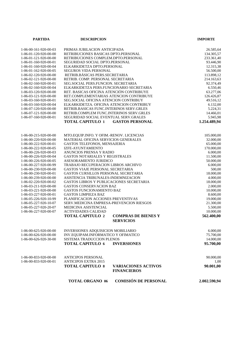| <b>PARTIDA</b>        | <b>DESCRIPCION</b>                           |                                                | <b>IMPORTE</b> |
|-----------------------|----------------------------------------------|------------------------------------------------|----------------|
|                       |                                              |                                                |                |
| 1-06-00-161-920-00-03 | PRIMAS JUBILACION ANTICIPADA                 |                                                | 26.585,64      |
| 1-06-01-120-920-00-00 | RETRIBUCIONES BASICAS DPTO.PERSONAL          |                                                | 134.305,57     |
| 1-06-01-121-920-00-00 | RETRIBUCIONES COMPLEM.DPTO.PERSONAL          |                                                | 233.361,40     |
| 1-06-01-160-920-00-01 | SEGURIDAD SOCIAL DPTO.PERSONAL               |                                                | 93.446,90      |
| 1-06-01-160-920-00-04 | ELKARKIDETZA DPTO.PERSONAL                   |                                                | 12.315,38      |
| 1-06-01-162-920-00-05 | SEGUROS VIDA PERSONAL                        |                                                | 56.500,00      |
| 1-06-02-120-920-00-00 | RETRIB.BÁSICAS PERS.SECRETARIA               |                                                | 113.898,12     |
| 1-06-02-121-920-00-00 | RETRIB. COMP. PERSONAL SECRETARIA            |                                                | 214.163,63     |
| 1-06-02-160-920-00-01 | SEG.SOCIAL PERS.FUNCION. SECRETARIA          |                                                | 92.374,49      |
| 1-06-02-160-920-00-04 | ELKARKIDETZA PERS.FUNCIONARIO SECRETARIA     |                                                | 6.550,46       |
| 1-06-03-120-920-00-00 | RET. BASICAS OFICINA ATENCIÓN CONTRIBUYE     |                                                | 63.277,06      |
| 1-06-03-121-920-00-00 | RET.COMPLEMENTARIAS ATENCION CONTRIBUYE      |                                                | 126.426,87     |
| 1-06-03-160-920-00-01 | <b>SEG.SOCIAL OFICINA ATENCION CONTRIBUY</b> |                                                | 49.516,12      |
| 1-06-03-160-920-00-04 | ELKARKIDETZA. OFICINA ATENCION CONTRIBUY     |                                                | 6.132,00       |
| 1-06-07-120-920-00-00 | RETRIB.BASICAS FUNC.INTERINOS SERV.GRLES     |                                                | 5.224,31       |
| 1-06-07-121-920-00-00 | RETRIB.COMPLEM FUNC.INTERINOS SERV.GRLES     |                                                | 14.466,01      |
| 1-06-07-160-920-00-01 | SEGURIDAD SOCIAL EVENTUAL SERV.GRALES        |                                                | 5.945,98       |
|                       | <b>TOTAL CAPITULO 1</b>                      | <b>GASTOS PERSONAL</b>                         | 1.254.489,94   |
|                       |                                              |                                                |                |
|                       |                                              |                                                |                |
| 1-06-00-215-920-00-00 | MTO.EQUIP.INFO. Y OFIM.-RENOV. LICENCIAS     |                                                | 105.000,00     |
| 1-06-00-220-920-00-00 | MATERIAL OFICINA SERVICIOS GENERALES         |                                                | 32.000,00      |
| 1-06-00-222-920-00-01 | GASTOS TELEFONOS, MENSAJERIA                 |                                                | 65.000,00      |
| 1-06-00-222-920-00-05 | IZFE-AYUNTAMIENTO                            |                                                | 170.000,00     |
| 1-06-00-226-920-00-03 | ANUNCIOS PRENSA Y RADIO                      |                                                | 6.000,00       |
| 1-06-00-226-920-00-04 | GASTOS NOTARIALES Y REGISTRALES              |                                                | 11.500,00      |
| 1-06-00-226-920-00-05 | ASESORAMIENTO JURIDICO                       |                                                | 50.000,00      |
| 1-06-00-227-920-00-99 | TRABAJO RECUPERACION LIBROS ARCHIVO          |                                                | 6.000,00       |
| 1-06-00-230-920-00-00 | <b>GASTOS VIAJE PERSONAL SECRETARIA</b>      |                                                | 500,00         |
| 1-06-00-230-920-00-01 | GASTOS CURSILLOS PERSONAL SECRETARIA         |                                                | 18.000,00      |
| 1-06-00-239-920-00-00 | ASISTENCIA TRIBUNALES-INDEMNIZACION          |                                                | 4.000,00       |
| 1-06-02-220-920-00-02 | GASTOS LIBROS Y PUBLICACIONES SECRETARIA     |                                                | 18.000,00      |
| 1-06-03-211-920-00-00 | GASTOS CONSERVACION BAZ                      |                                                | 2.000,00       |
| 1-06-03-221-920-00-00 | GASTOS FUNCIONAMIENTO BAZ                    |                                                | 10.000,00      |
| 1-06-03-227-920-00-01 | <b>GASTOS LIMPIEZA BAZ</b>                   |                                                | 8.600,00       |
| 1-06-05-226-920-10-99 | PLANIFICACION ACCIONES PREVENTIVAS           |                                                | 19.000,00      |
| 1-06-05-227-920-10-07 | SERV.MEDICINA EMPRESA-PREVENCION RIESGOS     |                                                | 21.300,00      |
| 1-06-05-227-920-20-07 | MEDICINA ASISTENCIAL                         |                                                | 5.500,00       |
| 1-06-06-227-920-00-07 | <b>ACTIVIDADES CALIDAD</b>                   |                                                | 10.000,00      |
|                       | <b>TOTAL CAPITULO 2</b>                      | <b>COMPRAS DE BIENES Y</b><br><b>SERVICIOS</b> | 562.400,00     |
|                       |                                              |                                                |                |
| 1-06-00-625-920-00-00 | INVERSIONES ADQUISICION MOBILIARIO           |                                                | 6.000,00       |
| 1-06-00-626-920-00-00 | INV.EQUIPAM.INFORMATICO Y OFIMATICO          |                                                | 75.700,00      |
| 1-06-00-626-920-30-00 | SISTEMA TRADUCCION PLENOS                    |                                                | 14.000,00      |
|                       | <b>TOTAL CAPITULO 6</b>                      | <b>INVERSIONES</b>                             | 95.700,00      |
|                       |                                              |                                                |                |
| 1-06-00-833-920-00-00 | <b>ANTICIPOS PERSONAL</b>                    |                                                | 90.000,00      |
| 1-06-00-833-920-00-01 | <b>ANTICIPOS EXTRA 2015</b>                  |                                                | 1,00           |
|                       | <b>TOTAL CAPITULO 8</b>                      | <b>VARIACIONES ACTIVOS</b>                     | 90.001,00      |
|                       |                                              | <b>FINANCIEROS</b>                             |                |
|                       | <b>TOTAL ORGANO 06</b>                       | <b>COMISIÓN DE PERSONAL</b>                    | 2.002.590,94   |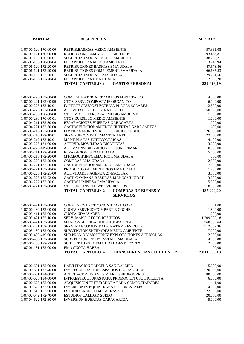| <b>PARTIDA</b>        | <b>DESCRIPCION</b>                                          | <b>IMPORTE</b> |
|-----------------------|-------------------------------------------------------------|----------------|
|                       |                                                             |                |
| 1-07-00-120-170-00-00 | RETRIB.BASICAS MEDIO AMBIENTE                               | 57.361,08      |
| 1-07-00-121-170-00-00 | RETRIB.COMPLEM MEDIO AMBIENTE                               | 93.466,81      |
| 1-07-00-160-170-00-01 | SEGURIDAD SOCIAL MEDIO AMBIENTE                             | 38.786,21      |
| 1-07-00-160-170-00-04 | ELKARKIDETZA MEDIO AMBIENTE                                 | 3.243,94       |
| 1-07-06-120-172-20-00 | RETRIBUCIONES BASICAS EMA UDALA                             | 47.578,86      |
| 1-07-06-121-172-20-00 | RETRIBUCIONES COMPLEMENT.EMA UDALA                          | 66.635,53      |
| 1-07-06-160-172-20-01 | SEGURIDAD SOCIAL EMA UDALA                                  | 29.781,56      |
| 1-07-06-160-172-20-04 | ELKARKIDETZA EMA UDALA                                      | 2.769,20       |
|                       | <b>TOTAL CAPITULO 1</b><br><b>GASTOS PERSONAL</b>           | 339.623,19     |
|                       |                                                             |                |
| 1-07-00-220-172-00-00 | COMPRA MATERIAL TRABAJOS FORESTALES                         | 4.000,00       |
| 1-07-00-221-162-00-99 | GTOS. SERV. COMPOSTAJE ORGANICO                             | 6.000,00       |
| 1-07-00-225-172-10-01 | IMPTO.PRODUCC.ELECTRICA PLACAS SOLARES                      | 2.500,00       |
| 1-07-00-226-172-00-00 | <b>ACTIVIDADES C.D. ESTRATEGICO</b>                         | 50.000,00      |
| 1-07-00-230-170-00-00 | GTOS. VIAJES PERSONAL MEDIO AMBIENTE                        | 1.000,00       |
| 1-07-00-230-170-00-01 | GTOS.CURSILLO MEDIO AMBIENTE                                | 1.000,00       |
| 1-07-04-211-172-30-00 | REPARACIONES HUERTAS GARAGARZA                              | 1.000,00       |
| 1-07-04-221-172-30-00 | GASTOS FUNCIONAMIENTO HUERTAS GARAGARTZA                    | 600,00         |
| 1-07-05-210-172-00-00 | LIMPIEZA MONTES, RIOS, ESPACIOS PUBLICOS                    | 26.000,00      |
| 1-07-05-210-172-10-01 | SERV.SUBCONTRAT.MANTEN.AKEI                                 | 22.000,00      |
| 1-07-05-212-172-10-01 | MANT.PLACAS FOTOVOLTAICAS                                   | 4.100,00       |
| 1-07-05-226-134-00-00 | ACTIVID. MOVILIDAD-BICICLETAS                               | 3.000,00       |
| 1-07-05-226-419-00-00 | ACTIV.SENSIBILIZACION SECTOR PRIMARIO                       | 10.000,00      |
| 1-07-06-211-172-20-00 | REPARACIONES EMA UDALA                                      | 15.000,00      |
| 1-07-06-215-172-20-00 | MTO.EQUIP.INFORMATICO EMA UDALA                             | 500,00         |
| 1-07-06-220-172-20-00 | <b>COMPRAS EMA UDALA</b>                                    | 2.500,00       |
| 1-07-06-221-172-20-00 | GASTOS FUNCIONAMIENTO EMA UDALA                             | 7.500,00       |
| 1-07-06-221-172-20-06 | PRODUCTOS ALIMENTICIOS EMA UDALA                            | 1.200,00       |
| 1-07-06-226-172-21-00 | <b>ACTIVIDADES AGENDA 21-ESCOLAR</b>                        | 3.500,00       |
| 1-07-06-226-172-22-00 | GAST. CAMPAÑA BASURAS-MANCOMUNIDAD                          | 3.000,00       |
| 1-07-06-227-172-20-01 | <b>GASTOS LIMPIEZA EMA UDALA</b>                            | 5.500,00       |
| 1-07-07-221-172-00-00 | GTO.FUNC.INSTAL.MTO.VEHICULOS                               | 18.000,00      |
|                       | <b>TOTAL CAPITULO 2</b><br><b>COMPRAS DE BIENES Y</b>       | 187.900,00     |
|                       | <b>SERVICIOS</b>                                            |                |
|                       |                                                             |                |
| 1-07-00-471-172-00-00 | CONVENIOS PROTECCION TERRITORIO                             | 1,00           |
| 1-07-00-480-172-00-00 | CUOTA SERVICIO COMPARTIR COCHE                              | 1.800,00       |
| 1-07-05-411-172-00-00 | <b>CUOTA UDALSAREA</b>                                      | 1.000,00       |
| 1-07-05-421-162-10-00 | SERV. MANC.-RECOG.RESIDUOS                                  | 1.209.939,18   |
| 1-07-05-421-162-20-00 | MANCOM.-HONDAKINEN KUDEAKETA                                | 260.355,64     |
| 1-07-05-421-162-30-00 | SERV. MANCOMUNIDAD-TRATAM.RESIDUOS                          | 512.509,36     |
| 1-07-05-480-172-00-00 | SUBVENCION ENTIDADES MEDIO AMBIENTE                         | 7.000,00       |
| 1-07-05-480-419-00-00 | SUB.PROMO Y MODERNIZ.EXPLOTACIONES AGRICOLAS                | 12.000,00      |
| 1-07-06-480-172-20-00 | SUBVENCION UTILIZ.INSTAL.EMA UDALA                          | 4.000,00       |
| 1-07-06-480-172-23-00 | SUBV.UTIL.INSTA.EMA UDALA-EST LEZETXI                       | 2.800,00       |
| 1-07-06-481-172-00-00 | EMA CUOTA HABEA                                             | 100,00         |
|                       | <b>TOTAL CAPITULO 4</b><br><b>TRANSFERENCIAS CORRIENTES</b> | 2.011.505,18   |
|                       |                                                             |                |
| 1-07-00-601-172-00-00 | HABILITACION PARCELA SAN BALERIO                            | 15.000,00      |
| 1-07-00-601-172-40-00 | <b>INV.RECUPERACION ESPACIOS DEGRADADOS</b>                 | 20.000,00      |
| 1-07-00-601-134-00-01 | ADECUACION TRAMOS VIARIOS-BIDEGORRIS                        | 80.000,00      |
| 1-07-00-623-134-00-00 | INFRAESTRUCTURAS PARA PROMOCION USO BICICLETA               | 6.000,00       |
| 1-07-00-623-162-00-00 | ADQUISICION TRITURADORA PARA COMPOSTADORES                  | 1,00           |
| 1-07-00-623-172-00-00 | INVERSIONES EQUIP.TRABAJOS FORESTALES                       | 4.000,00       |
| 1-07-00-642-172-00-00 | ESTUDIO EKOSISTEMA ARRASATE                                 | 22.000,00      |
| 1-07-02-642-172-40-00 | ESTUDIOS CALIDAD SUELO                                      | 20.000,00      |
| 1-07-04-622-172-30-00 | <b>INVERSION HUERTAS GARAGARTZA</b>                         | 5.000,00       |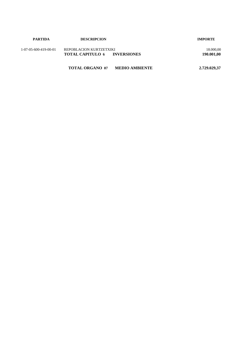| <b>PARTIDA</b>        | <b>DESCRIPCION</b>                                             | <b>IMPORTE</b>          |
|-----------------------|----------------------------------------------------------------|-------------------------|
| 1-07-05-600-419-00-01 | REPOBLACION KURTZETXIKI<br><b>TOTAL CAPITULO 6 INVERSIONES</b> | 18.000,00<br>190.001,00 |
|                       | <b>TOTAL ORGANO 07</b><br><b>MEDIO AMBIENTE</b>                | 2,729,029,37            |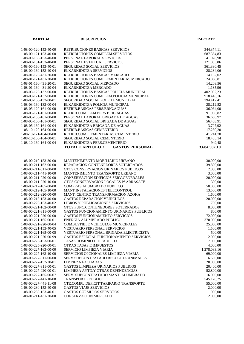| <b>PARTIDA</b>                                   | <b>DESCRIPCION</b>                                                             | <b>IMPORTE</b>          |
|--------------------------------------------------|--------------------------------------------------------------------------------|-------------------------|
|                                                  |                                                                                |                         |
| 1-08-00-120-153-40-00                            | RETRIBUCIONES BASICAS SERVICIOS                                                | 344.374,11              |
| 1-08-00-121-153-40-00                            | RETRIBUCIONES COMPLEM.SERVICIOS                                                | 687.364,83              |
| 1-08-00-130-153-40-00                            | PERSONAL LABORAL SERVICIOS                                                     | 41.028,98               |
| 1-08-00-131-153-40-00                            | PERSONAL EVENTUAL SERVICIOS                                                    | 121.855,86              |
| 1-08-00-160-153-40-01                            | SEGURIDAD SOCIAL SERVICIOS                                                     | 361.380,45              |
| 1-08-00-160-153-40-04                            | ELKARKIDETZA SERVICIOS                                                         | 28.284,06               |
| 1-08-01-120-431-20-00                            | RETRIBUCIONES BASICAS MERCADO                                                  | 14.132,02               |
| 1-08-01-121-431-20-00                            | RETRIBUCIONES COMPLEMENTARIAS MERCADO                                          | 24.868,81               |
| 1-08-01-160-431-20-01                            | SEGURIDAD SOCIAL MERCADO                                                       | 14.208,56               |
| 1-08-01-160-431-20-04                            | ELKARKIDETZA MERCADO                                                           | 1.135,96                |
| 1-08-03-120-132-00-00                            | RETRIBUCIONES BASICAS POLICIA MUNICIPAL                                        | 402.002,23              |
| 1-08-03-121-132-00-00                            | RETRIBUCIONES COMPLEM.POLICIA MUNICIPAL                                        | 918.443,16              |
| 1-08-03-160-132-00-01                            | SEGURIDAD SOCIAL POLICIA MUNICIPAL                                             | 394.412,41              |
| 1-08-03-160-132-00-04                            | ELKARKIDETZA POLICIA MUNICIPAL                                                 | 28.212,52               |
| 1-08-05-120-161-00-00                            | RETRIB.BASICAS PERS.BRIG.AGUAS                                                 | 36.064,00               |
| 1-08-05-121-161-00-00<br>1-08-05-130-161-00-00   | RETRIB.COMPLEM.PERS.BRIG.AGUAS<br>PERSONAL LABORAL BRIGADA DE AGUAS            | 91.998,82<br>36.686,97  |
| 1-08-05-160-161-00-01                            |                                                                                |                         |
| 1-08-05-160-161-00-04                            | SEGURIDAD SOCIAL BRIGADA DE AGUAS<br>ELKARKIDETZA BRIGADA DE AGUAS             | 56.403,91<br>3.797,92   |
| 1-08-10-120-164-00-00                            | RETRIB.BÁSICAS CEMENTERIO                                                      | 17.280,20               |
| 1-08-10-121-164-00-00                            | RETRIB.COMPLEMENTARIAS CEMENTERIO                                              | 41.241,70               |
| 1-08-10-160-164-00-01                            | SEGURIDAD SOCIAL CEMENTERIO                                                    | 18.455,14               |
| 1-08-10-160-164-00-04                            | ELKARKIDETZA PERS.CEMENTERIO                                                   | 949,48                  |
|                                                  | <b>TOTAL CAPITULO 1</b><br><b>GASTOS PERSONAL</b>                              | 3.684.582,10            |
|                                                  |                                                                                |                         |
|                                                  |                                                                                |                         |
| 1-08-00-210-153-30-00                            | MANTENIMIENTO MOBILIARIO URBANO                                                | 30.000,00               |
| 1-08-00-211-162-00-00                            | REPARACION CONTENEDORES SOTERRADOS                                             | 39.800,00               |
| 1-08-00-211-311-00-00                            | GTOS.CONSERVACION URINARIOS PUBLICOS                                           | 2.000,00                |
| 1-08-00-211-441-10-00                            | MANTENIMIENTO TRANSPORTE URBANO                                                | 3.000,00                |
| 1-08-00-211-920-00-00<br>1-08-00-211-920-10-00   | CONSERVACION EDIFICIOS SERV.GENERALES<br>GTOS CONSERVACION LOCALES Pº ARRASATE | 20.000,00<br>300,00     |
| 1-08-00-212-165-00-00                            | <b>COMPRAS ALUMBRADO PUBLICO</b>                                               | 50.000,00               |
| 1-08-00-212-165-10-00                            | MANT.INSTALACIONES TELECONTROL                                                 | 13.500,00               |
| 1-08-00-212-920-00-00                            | MANT. CENTRO TRANSFORMACION AZOKA                                              | 1.600,00                |
| 1-08-00-213-153-40-00                            | <b>GASTOS REPARACION VEHICULOS</b>                                             | 20.000,00               |
| 1-08-00-220-153-40-02                            | LIBROS Y PUBLICACIONES SERVICIOS                                               | 700,00                  |
| 1-08-00-221-162-00-00                            | GTOS.FUNC.CONTENEDORES SOTERRADOS                                              | 8.000,00                |
| 1-08-00-221-311-00-00                            | GASTOS FUNCIONAMIENTO URINARIOS PUBLICOS                                       | 800,00                  |
| 1-08-00-221-920-00-00                            | <b>GASTOS FUNCIONAMIENTO SERVICIOS</b>                                         | 72.000,00               |
| $1-08-00-221-165-00-01$                          | ENERGIA ALUMBRADO PUBLICO                                                      | 370.000,00              |
| 1-08-00-221-920-00-04                            | COMBUSTIBLE VEHICULOS MUNICIPALES                                              | 25.000,00               |
| 1-08-00-221-153-40-05                            | <b>VESTUARIO PERSONAL SERVICIOS</b>                                            | 1.500,00                |
| 1-08-00-221-165-00-05                            | VESTUARIO PERSONAL BRIGADA ELECTRICISTA                                        | 500,00                  |
| 1-08-00-221-920-00-99                            | GASTOS ESPECIAL FUNCIONAMIENTO SERVICIOS                                       | 2.000,00                |
| 1-08-00-225-153-00-01                            | <b>TASAS DOMINIO HIDRAULICO</b>                                                | 7.000,00                |
| 1-08-00-225-920-00-01                            | <b>OTRAS TASAS E IMPUESTOS</b>                                                 | 4.000,00                |
| 1-08-00-227-163-00-00                            | SERVICIO LIMPIEZA VIARIA                                                       | 1.278.033,16            |
| 1-08-00-227-163-10-00                            | SERVICIOS OPCIONALES LIMPIEZA VIARIA                                           | 69.000,00               |
| 1-08-00-227-311-00-00                            | SERV.SUBCONTRATADO RECOGIDA ANIMALES                                           | 6.500,00                |
| 1-08-00-227-152-20-01                            | <b>LIMPIEZA FACHADAS</b>                                                       | 20.000,00               |
| 1-08-00-227-311-00-01                            | <b>GASTOS LIMPIEZA URINARIOS PUBLICOS</b>                                      | 20.400,00               |
| 1-08-00-227-920-00-01                            | LIMPIEZA AYTO.Y OTRAS DEPENDENCIAS                                             | 52.800,00               |
| 1-08-00-227-165-00-07                            | SERV. SUBCONTRATADO MANT. ALUMBRADO                                            | 16.000,00               |
| 1-08-00-227-441-10-08<br>$1-08-00-227-441-11-08$ | <b>TRANSPORTE PUBLICO</b><br>CTE.COMPL.DEFICIT TARIFARIO TRANSPORTE            | 545.128,75<br>55.000,00 |
| 1-08-00-230-153-40-00                            | <b>GASTOS VIAJE SERVICIOS</b>                                                  | 2.000,00                |
| 1-08-00-230-153-40-01                            | <b>GASTOS CURSILLOS SERVICIOS</b>                                              | 1.000,00                |
| 1-08-01-211-431-20-00                            | CONSERVACION MERCADO                                                           | 2.000,00                |
|                                                  |                                                                                |                         |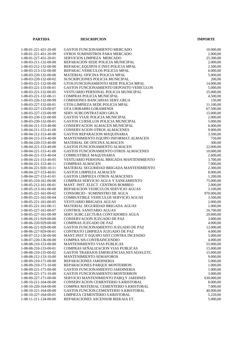| <b>PARTIDA</b>                                 | <b>DESCRIPCION</b>                                                       | <b>IMPORTE</b>         |
|------------------------------------------------|--------------------------------------------------------------------------|------------------------|
|                                                |                                                                          |                        |
| 1-08-01-221-431-20-00                          | <b>GASTOS FUNCIONAMIENTO MERCADO</b>                                     | 10.000,00              |
| 1-08-01-221-431-20-99                          | OTROS SUMINISTROS PARA MERCADO                                           | 2.000,00               |
| 1-08-01-227-431-20-01                          | SERVICIOS LIMPIEZA MERCADO                                               | 25.300,00              |
| 1-08-03-211-132-00-00                          | REPARACION SEDE POLICIA MUNICIPAL                                        | 2.000,00               |
| 1-08-03-212-132-00-00<br>1-08-03-213-132-00-00 | REPARAC.EQUIPOS E INST.POLICIA MPAL<br>REPARAC.VEHICULOS POLICIA MPAL    | 2.500,00               |
| 1-08-03-220-132-00-00                          | MATERIAL OFICINA POLICIA MPAL                                            | 6.000,00<br>5.000,00   |
| 1-08-03-220-132-00-02                          | SUSCRIPCIONES POLICIA MUNICIPAL                                          | 200,00                 |
| 1-08-03-221-132-00-00                          | GTOS.FUNCIONAMIENTO SEDE POLICIA MPAL                                    | 14.000,00              |
| 1-08-03-221-133-00-01                          | GASTOS FUNCIONAMIENTO DEPOSITO VEHICULOS                                 | 5.000,00               |
| 1-08-03-221-132-00-05                          | VESTUARIO PERSONAL POLICIA MUNICIPAL                                     | 25.000,00              |
| 1-08-03-221-132-00-11                          | COMPRAS POLICIA MUNICIPAL                                                | 4.500,00               |
| 1-08-03-226-132-00-99                          | COMISIONES BANCARIAS SERV.GRUA                                           | 150,00                 |
| 1-08-03-227-132-00-01                          | GTOS.LIMPIEZA SEDE POLICIA MPAL                                          | 11.100,00              |
| 1-08-03-227-133-00-07                          | OTA URIBARRI-LORAMENDI                                                   | 67.500,00              |
| 1-08-03-227-133-00-99                          | SERV.SUBCONTRATADO GRUA                                                  | 15.000,00              |
| 1-08-03-230-132-00-00                          | <b>GASTOS VIAJE POLICIA MUNICIPAL</b>                                    | 2.000,00               |
| 1-08-03-230-132-00-01                          | GASTOS CURSILLOS POLICIA MUNICIPAL                                       | 5.000,00               |
| 1-08-04-211-153-40-00                          | CONSERVACION ALMACEN MUNICIPAL                                           | 6.000,00               |
| 1-08-04-211-153-41-00                          | <b>CONSERVACION OTROS ALMACENES</b>                                      | 9.000,00               |
| 1-08-04-212-153-40-00                          | GASTOS REPARACION MAQUINARIA                                             | 3.500,00               |
| 1-08-04-215-153-40-00                          | MANTENIMIENTO EQUIPO INFORMAT. ALMACEN                                   | 750,00                 |
| 1-08-04-220-153-40-00                          | <b>MATERIAL DE OFICINA ALMACEN</b>                                       | 300,00                 |
| 1-08-04-221-153-40-00                          | <b>GASTOS FUNCIONAMIENTO ALMACEN</b>                                     | 22.000,00              |
| 1-08-04-221-153-41-00                          | GASTOS FUNCIONAMIENTO OTROS ALMACENES                                    | 10.000,00              |
| 1-08-04-221-153-40-04                          | COMBUSTIBLE MAQUINARIA                                                   | 2.600,00               |
| 1-08-04-221-153-40-05                          | VESTUARIO PERSONAL BRIGADA MANTENIMIENTO                                 | 3.700,00               |
| 1-08-04-221-153-40-11                          | <b>COMPRAS ALMACEN</b>                                                   | 7.000,00               |
| 1-08-04-221-920-10-11                          | MATERIAL SEGURIDAD BRIGADA MANTENIMIENTO                                 | 2.300,00               |
| 1-08-04-227-153-40-01                          | <b>GASTOS LIMPIEZA ALMACEN</b>                                           | 8.000,00               |
| 1-08-04-227-153-41-01                          | <b>GASTOS LIMPIEZA OTROS ALMACENES</b>                                   | 1.200,00               |
| 1-08-05-210-161-00-00                          | COMPRAS SERVICIO AGUA Y SANEAMIENTO                                      | 75.000,00              |
| 1-08-05-212-161-00-01                          | MANT. INST. ELECT. CENTROS BOMBEO                                        | 2.000,00               |
| 1-08-05-213-161-00-00<br>1-08-05-221-161-00-02 | REPARACION VEHICULOS SERVICIO AGUAS<br>CONSORCIO - SUMINISTRO DE AGUA    | 3.100,00               |
| 1-08-05-221-161-00-04                          | COMBUSTIBLE VEHICULOS SERVICIO AGUAS                                     | 970.000,00<br>3.500,00 |
| 1-08-05-221-161-00-05                          | <b>VESTUARIO BRIGADA AGUAS</b>                                           | 2.000,00               |
| $1-08-05-221-161-00-11$                        | MATERIAL SEGURIDAD BRIGADA AGUAS                                         | 1.000,00               |
| 1-08-05-227-161-00-07                          | <b>CONTROL SANITARIO AGUAS</b>                                           | 16.700,00              |
| 1-08-05-227-161-00-99                          | SERV. SUBC. LECTURA CONTADORES AGUA                                      | 29.000,00              |
| 1-08-06-211-929-00-00                          | CONSERVACION JUZGADO DE PAZ                                              | 3.000,00               |
| 1-08-06-220-929-00-00                          | COMPRAS JUZGADO DE PAZ                                                   | 4.000,00               |
| 1-08-06-221-929-00-00                          | GASTOS FUNCIONAMIENTO JUZGADO DE PAZ                                     | 12.000,00              |
| 1-08-06-227-929-00-01                          | CONTRATO LIMPIEZA JUZGADO DE PAZ                                         | 4.000,00               |
| 1-08-07-212-136-00-00                          | MANT.INST.Y EQUIPO SIST.CONTRA INCENDIO                                  | 5.000,00               |
| 1-08-07-220-136-00-00                          | COMPRA SIS.CONTRAINCENDIO                                                | 4.000,00               |
| 1-08-08-210-153-00-00                          | <b>MANTENIMIENTO VIAS PUBLICAS</b>                                       | 55.000,00              |
| 1-08-08-210-133-00-01                          | COMPRAS SEÑALIZACION VIAS PUBLICAS                                       | 15.000,00              |
| 1-08-08-210-135-00-02                          | GASTOS TRABAJOS EMERGENCIAS, NEVADAS, ETC.                               | 15.000,00              |
| 1-08-08-212-133-10-00                          | <b>MANTENIMIENTO SEMAFOROS</b>                                           | 9.000,00               |
| 1-08-09-210-171-00-00                          | REPARACIONES JARDINERIA                                                  | 5.000,00               |
| 1-08-09-210-171-10-00                          | REPARACIONES PARQUE MONTERRON                                            | 1.000,00               |
| 1-08-09-221-171-00-00                          | GASTOS FUNCIONAMIENTO JARDINERIA                                         | 1.000,00               |
| 1-08-09-221-171-10-00                          | <b>GASTOS FUNCIONAMIENTO MONTERRON</b>                                   | 3.000,00               |
| 1-08-09-227-171-00-00                          | SERVICIO MANTENIMIENTO PARQ.Y JARDINES                                   | 630.000,00             |
| $1-08-10-211-164-00-00$                        | CONSERVACION CEMENTERIO S.KRISTOBAL                                      | 8.000,00               |
| 1-08-10-220-164-00-00                          | COMPRA MATERIAL CEMENTERIO S.KRISTOBAL                                   | 7.000,00               |
| 1-08-10-221-164-00-00<br>1-08-10-227-164-00-01 | GASTOS FUNCION.CEMENTERIO S.KRISTOBAL<br>LIMPIEZA CEMENTERIO S.KRISTOBAL | 40.000,00<br>5.220,00  |
| 1-08-11-211-134-00-00                          | REPARACIONES ASCENSOR BIZKAIA ET.                                        | 5.000,00               |
|                                                |                                                                          |                        |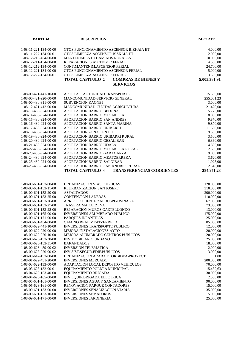| <b>PARTIDA</b>          | <b>DESCRIPCION</b>                                          | <b>IMPORTE</b> |
|-------------------------|-------------------------------------------------------------|----------------|
|                         |                                                             |                |
| 1-08-11-221-134-00-00   | GTOS FUNCIONAMIENTO ASCENSOR BIZKAIA ET                     | 4.000,00       |
| 1-08-11-227-134-00-01   | GTOS LIMPIEZA ASCENSOR BIZKAIA ET                           | 2.000,00       |
| 1-08-12-210-454-00-00   | <b>MANTENIMIENTO CAMINOS RURALES</b>                        | 10.000,00      |
| 1-08-12-211-134-00-00   | REPARACIONES ASCENSOR FERIAL                                | 4.500,00       |
| 1-08-12-212-134-00-00   | CONT.MANTENIM.ASCENSOR FERIAL                               | 24.700,00      |
| 1-08-12-221-134-00-00   | GTOS.FUNCIONAMIENTO ASCENSOR FERIAL                         | 5.000,00       |
| 1-08-12-227-134-00-01   | GTOS.LIMPIEZA ASCENSOR FERIAL                               | 3.500,00       |
|                         | <b>TOTAL CAPITULO 2</b><br><b>COMPRAS DE BIENES Y</b>       | 5.005.381,91   |
|                         | <b>SERVICIOS</b>                                            |                |
|                         |                                                             |                |
| 1-08-00-421-441-10-00   | APORTAC. AUTORIDAD TRANSPORTE                               | 15.500,00      |
| 1-08-00-421-920-00-00   | MANCOMUNIDAD-SERVICIO GENERAL                               | 255.081,23     |
| 1-08-00-480-311-00-00   | <b>SUBVENCION KAONBI</b>                                    | 3.000,00       |
| 1-08-12-421-412-00-00   | MANCOMUNIDAD-CUOTAS AGRICULTURA                             | 21.420,00      |
| 1-08-13-480-924-00-00   | APORTACION BARRIO BEDOÑA                                    | 5.775,00       |
| 1-08-14-480-924-00-00   | APORTACION BARRIO MUSAKOLA                                  | 8.880,00       |
| 1-08-15-480-924-00-00   | APORTACION BARRIO SAN ANDRES                                | 9.870,00       |
| 1-08-16-480-924-00-00   | APORTACION BARRIO SANTA MARINA                              | 9.870,00       |
| 1-08-17-480-924-00-00   | APORTACION BARRIO URIBARRI                                  | 11.630,00      |
| 1-08-18-480-924-00-00   | APORTACION ZONA CENTRO                                      | 9.565,00       |
| 1-08-19-480-924-00-00   | APORTACION BARRIO URIBARRI RURAL                            | 3.500,00       |
| 1-08-20-480-924-00-00   | APORTACION BARRIO GESALIBAR                                 | 6.360,00       |
| 1-08-21-480-924-00-00   | APORTACION BARRIO UDALA                                     | 4.800,00       |
| 1-08-22-480-924-00-00   | APORTACION BARRIO MUSAKOLA RURAL                            | 2.680,00       |
| 1-08-23-480-924-00-00   | APORTACION BARRIO GARAGARZA                                 | 9.850,00       |
| 1-08-24-480-924-00-00   | APORTACION BARRIO MEATZERREKA                               | 3.620,00       |
| 1-08-25-480-924-00-00   | APORTACION BARRIO ZALDIBAR                                  | 1.025,00       |
| 1-08-26-480-924-00-00   | APORTACION BARRIO SAN ANDRES RURAL                          | 2.545,00       |
|                         | <b>TOTAL CAPITULO 4</b><br><b>TRANSFERENCIAS CORRIENTES</b> | 384.971,23     |
|                         |                                                             |                |
| $1-08-00-601-153-00-00$ | URBANIZACION VIAS PUBLICAS                                  | 120.000,00     |
| $1-08-00-601-153-11-00$ | REURBANIZACION SAN JOSEPE                                   | 310.000,00     |
| 1-08-00-601-153-20-00   | <b>ASFALTADOS</b>                                           | 200.000,00     |
| 1-08-00-601-153-25-00   | <b>CONTENCION LADERAS</b>                                   | 110.000,00     |
| 1-08-00-601-153-26-00   | ARREGLO PUENTE ZALDUSPE-OSINAGA                             | 67.000,00      |
| 1-08-00-601-153-27-00   | TRASERA MAKATZENA                                           | 73.000,00      |
| 1-08-00-601-153-28-00   | REPARACION MUROS GAZTELUONDO                                | 13.000,00      |
| 1-08-00-601-165-00-00   | <b>INVERSIONES ALUMBRADO PUBLICO</b>                        | 175.000,00     |
| 1-08-00-601-171-00-00   | PARQUES INFANTILES                                          | 25.000,00      |
| 1-08-00-601-454-00-00   | CAMINO REAL MEATZERREKA                                     | 85.000,00      |
| $1-08-00-622-441-10-00$ | <b>INVERSIONES TRANSPORTE PUBLICO</b>                       | 12.000,00      |
| 1-08-00-622-920-00-00   | MEJORA INSTALACIONES AYTO                                   | 20.000,00      |
| 1-08-00-622-920-10-00   | MEJORA ALUMBRADO CENTROS PUBLICOS                           | 20.000,00      |
| 1-08-00-623-153-30-00   | <b>INV.MOBILIARIO URBANO</b>                                | 25,000,00      |
| 1-08-00-623-153-31-00   | <b>BARANDADOS</b>                                           | 18.000,00      |
| 1-08-00-623-459-00-02   | <b>INVERSION TELEMATICA</b>                                 | 2.000.00       |
| 1-08-00-623-920-00-02   | INV.SIST.SEGUR.EDIF.PUBLICOS                                | 3.000,00       |
| 1-08-00-642-153-00-00   | URBANIZACION ARABA ETORBIDEA-PROYECTO                       | 1,00           |
| 1-08-01-622-431-20-00   | <b>INVERSIONES MERCADO</b>                                  | 200.000,00     |
| 1-08-03-622-133-00-00   | ADAPTACION LOCAL DEPOSITO VEHICULOS                         | 70.000,00      |
| 1-08-03-623-132-00-01   | EQUIPAMIENTO POLICIA MUNICIPAL                              | 15.482,63      |
| 1-08-04-623-153-40-00   | EQUIPAMIENTO BRIGADA                                        | 30.000,00      |
| 1-08-04-623-165-00-00   | INV.EQUIP.BRIGADA ELECTRICA                                 | 2.500,00       |
| 1-08-05-601-161-00-00   | <b>INVERSIONES AGUA Y SANEAMIENTO</b>                       | 90.000,00      |
| 1-08-05-623-161-00-00   | RENOVACION PARQUE CONTADORES                                | 15.000,00      |
| 1-08-09-601-133-00-00   | INVERSIONES SEÑALIZACION VIARIA                             | 35.000,00      |
| 1-08-09-601-133-10-00   | <b>INVERSIONES SEMAFOROS</b>                                | 5.000,00       |
| 1-08-09-601-171-00-00   | <b>INVERSIONES JARDINERIA</b>                               | 25.000,00      |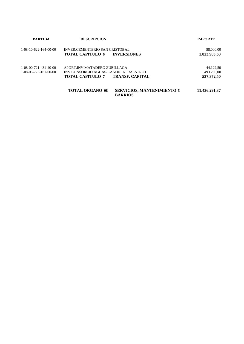| <b>PARTIDA</b>          | <b>DESCRIPCION</b>                     |                                                     | <b>IMPORTE</b> |
|-------------------------|----------------------------------------|-----------------------------------------------------|----------------|
| $1-08-10-622-164-00-00$ | INVER CEMENTERIO SAN CRISTOBAL         |                                                     | 58.000,00      |
|                         | TOTAL CAPITULO 6                       | <b>INVERSIONES</b>                                  | 1.823.983,63   |
| $1-08-00-721-431-40-00$ | APORT.INV.MATADERO ZUBILLAGA           |                                                     | 44.122.50      |
| $1-08-05-725-161-00-00$ | INV.CONSORCIO AGUAS-CANON INFRAESTRUT. |                                                     | 493.250,00     |
|                         | TOTAL CAPITULO 7                       | <b>TRANSF. CAPITAL</b>                              | 537.372,50     |
|                         | <b>TOTAL ORGANO 08</b>                 | <b>SERVICIOS, MANTENIMIENTO Y</b><br><b>BARRIOS</b> | 11.436.291,37  |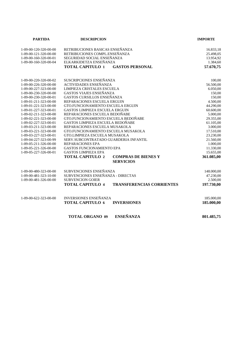| <b>PARTIDA</b>        | <b>DESCRIPCION</b>                                                        | <b>IMPORTE</b> |
|-----------------------|---------------------------------------------------------------------------|----------------|
| 1-09-00-120-320-00-00 | RETRIBUCIONES BASICAS ENSEÑANZA                                           | 16.833,18      |
| 1-09-00-121-320-00-00 | RETRIBUCIONES COMPL.ENSEÑANZA                                             | 25.498,05      |
| 1-09-00-160-320-00-01 | SEGURIDAD SOCIAL ENSEÑANZA                                                | 13.954,92      |
| 1-09-00-160-320-00-04 | ELKARKIDETZA ENSEÑANZA                                                    | 1.384,60       |
|                       | <b>TOTAL CAPITULO 1</b><br><b>GASTOS PERSONAL</b>                         | 57.670,75      |
|                       |                                                                           |                |
| 1-09-00-220-320-00-02 | SUSCRIPCIONES ENSEÑANZA                                                   | 100,00         |
| 1-09-00-226-320-00-00 | <b>ACTIVIDADES ENSEÑANZA</b>                                              | 56.500,00      |
| 1-09-00-227-323-00-00 | LIMPIEZA CRISTALES ESCUELA                                                | 6.050,00       |
| 1-09-00-230-320-00-00 | <b>GASTOS VIAJES ENSEÑANZA</b>                                            | 150,00         |
| 1-09-00-230-320-00-01 | GASTOS CURSILLOS ENSEÑANZA                                                | 150,00         |
| 1-09-01-211-323-00-00 | REPARACIONES ESCUELA ERGUIN                                               | 4.500,00       |
| 1-09-01-221-323-00-00 | GTO.FUNCIONAMIENTO ESCUELA ERGUIN                                         | 44.290,00      |
| 1-09-01-227-323-00-01 | GASTOS LIMPIEZA ESCUELA ERGUIN                                            | 60.600,00      |
| 1-09-02-211-323-00-00 | REPARACIONES ESCUELA BEDOÑABE                                             | 5.000,00       |
| 1-09-02-221-323-00-00 | GTO.FUNCIONAMIENTO ESCUELA BEDOÑABE                                       | 29.355,00      |
| 1-09-02-227-323-00-01 | GASTOS LIMPIEZA ESCUELA BEDOÑABE                                          | 61.105,00      |
| 1-09-03-211-323-00-00 | REPARACIONES ESCUELA MUSAKOLA                                             | 3.000,00       |
| 1-09-03-221-323-00-00 | GTO.FUNCIONAMIENTO ESCUELA MUSAKOLA                                       | 17.510,00      |
| 1-09-03-227-323-00-01 | GTO.LIMPIEZA ESCUELA MUSAKOLA                                             | 23.230,00      |
| 1-09-04-227-323-00-99 | SERV.SUBCONTRATADO GUARDERIA INFANTIL                                     | 21.560,00      |
| 1-09-05-211-326-00-00 | REPARACIONES EPA                                                          | 1.000,00       |
| 1-09-05-221-326-00-00 | <b>GASTOS FUNCIONAMIENTO EPA</b>                                          | 11.330,00      |
| 1-09-05-227-326-00-01 | <b>GASTOS LIMPIEZA EPA</b>                                                | 15.655,00      |
|                       | <b>TOTAL CAPITULO 2</b><br><b>COMPRAS DE BIENES Y</b><br><b>SERVICIOS</b> | 361.085,00     |
|                       |                                                                           |                |
| 1-09-00-480-323-00-00 | SUBVENCIONES ENSEÑANZA                                                    | 148.000,00     |
| 1-09-00-481-323-10-00 | SUBVENCIONES ENSEÑANZA - DIRECTAS                                         | 47.230,00      |
| 1-09-00-481-326-00-00 | <b>SUBVENCION GOIER</b>                                                   | 2.500,00       |
|                       | <b>TRANSFERENCIAS CORRIENTES</b><br><b>TOTAL CAPITULO 4</b>               | 197.730,00     |
| 1-09-00-622-323-00-00 | <b>INVERSIONES ENSEÑANZA</b>                                              | 185.000,00     |
|                       | <b>TOTAL CAPITULO 6</b><br><b>INVERSIONES</b>                             | 185.000,00     |
|                       | <b>ENSEÑANZA</b>                                                          |                |
|                       | <b>TOTAL ORGANO 09</b>                                                    | 801.485,75     |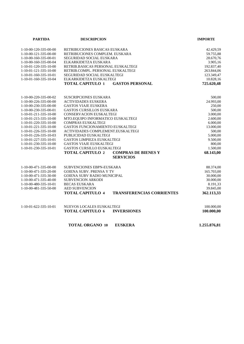| <b>PARTIDA</b>          | <b>DESCRIPCION</b>                                          | <b>IMPORTE</b> |
|-------------------------|-------------------------------------------------------------|----------------|
| 1-10-00-120-335-00-00   | RETRIBUCIONES BASICAS EUSKARA                               | 42.429,59      |
| 1-10-00-121-335-00-00   | RETRIBUCIONES COMPLEM. EUSKARA                              | 59.755,88      |
| 1-10-00-160-335-00-01   | SEGURIDAD SOCIAL EUSKARA                                    | 28.670,76      |
| 1-10-00-160-335-00-04   | ELKARKIDETZA EUSKARA                                        | 3.905,16       |
| 1-10-01-120-335-10-00   | RETRIB.BASICAS PERSONAL EUSKALTEGI                          | 192.837,40     |
| 1-10-01-121-335-10-00   | RETRIB.COMPL. PERSONAL EUSKALTEGI                           | 263.844,06     |
| 1-10-01-160-335-10-01   | SEGURIDAD SOCIAL EUSKALTEGI                                 | 123.349,47     |
| 1-10-01-160-335-10-04   | ELKARKIDETZA EUSKALTEGI                                     | 10.828,16      |
|                         | <b>TOTAL CAPITULO 1</b><br><b>GASTOS PERSONAL</b>           | 725.620,48     |
| 1-10-00-220-335-00-02   | <b>SUSCRIPCIONES EUSKARA</b>                                | 500,00         |
| 1-10-00-226-335-00-00   | <b>ACTIVIDADES EUSKERA</b>                                  | 24.993,00      |
| 1-10-00-230-335-00-00   | <b>GASTOS VIAJE EUSKERA</b>                                 | 250,00         |
| 1-10-00-230-335-00-01   | <b>GASTOS CURSILLOS EUSKARA</b>                             | 500,00         |
| 1-10-01-211-335-10-00   | <b>CONSERVACION EUSKALTEGI</b>                              | 3.000,00       |
| 1-10-01-215-335-10-00   | MTO.EQUIPO INFORMATICO EUSKALTEGI                           | 2.600,00       |
| 1-10-01-220-335-10-00   | <b>COMPRAS EUSKALTEGI</b>                                   | 6.000,00       |
| 1-10-01-221-335-10-00   | GASTOS FUNCIONAMIENTO EUSKALTEGI                            | 13.000,00      |
| 1-10-01-226-335-10-00   | ACTIVIDADES COMPLEMENT.EUSKALTEGI                           | 500,00         |
| 1-10-01-226-335-10-03   | PUBLICIDAD EUSKALTEGI                                       | 5.000,00       |
| 1-10-01-227-335-10-01   | <b>GASTOS LIMPIEZA EUSKALTEGI</b>                           | 9.500,00       |
| 1-10-01-230-335-10-00   | <b>GASTOS VIAJE EUSKALTEGI</b>                              | 800,00         |
| $1-10-01-230-335-10-01$ | <b>GASTOS CURSILLO EUSKALTEGI</b>                           | 1.500,00       |
|                         | <b>TOTAL CAPITULO 2</b><br><b>COMPRAS DE BIENES Y</b>       | 68.143,00      |
|                         | <b>SERVICIOS</b>                                            |                |
| 1-10-00-471-335-00-00   | <b>SUBVENCIONES EBPN-EUSKARA</b>                            | 88.374,00      |
| 1-10-00-471-335-20-00   | <b>GOIENA SUBV. PRENSA Y TV</b>                             | 165.703,00     |
| 1-10-00-471-335-30-00   | <b>GOIENA SUBV RADIO MUNICIPAL</b>                          | 30.000,00      |
| 1-10-00-471-335-40-00   | <b>SUBVENCION ARKODI</b>                                    | 30.000,00      |
| 1-10-00-480-335-10-01   | <b>BECAS EUSKARA</b>                                        | 8.191,33       |
| 1-10-00-481-335-50-00   | <b>AED SUBVENCION</b>                                       | 39.845,00      |
|                         | <b>TOTAL CAPITULO 4</b><br><b>TRANSFERENCIAS CORRIENTES</b> | 362.113,33     |
| 1-10-01-622-335-10-01   | <b>NUEVOS LOCALES EUSKALTEGI</b>                            | 100.000,00     |
|                         | <b>TOTAL CAPITULO 6</b><br><b>INVERSIONES</b>               | 100.000,00     |
|                         | <b>TOTAL ORGANO 10</b><br><b>EUSKERA</b>                    | 1.255.876,81   |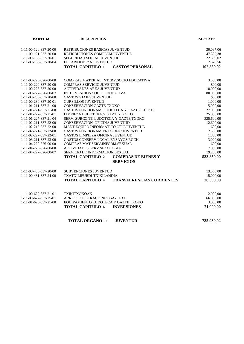| <b>PARTIDA</b>        | <b>DESCRIPCION</b>                                          | <b>IMPORTE</b> |
|-----------------------|-------------------------------------------------------------|----------------|
|                       |                                                             |                |
| 1-11-00-120-337-20-00 | RETRIBUCIONES BASICAS JUVENTUD                              | 30.097,06      |
| 1-11-00-121-337-20-00 | RETRIBUCIONES COMPLEM.JUVENTUD                              | 47.382,38      |
| 1-11-00-160-337-20-01 | <b>SEGURIDAD SOCIAL JUVENTUD</b>                            | 22.589,02      |
| 1-11-00-160-337-20-04 | ELKARKIDETZA JUVENTUD                                       | 2.520,56       |
|                       | <b>TOTAL CAPITULO 1</b><br><b>GASTOS PERSONAL</b>           | 102.589,02     |
|                       |                                                             |                |
| 1-11-00-220-326-00-00 | COMPRAS MATERIAL INTERV.SOCIO EDUCATIVA                     | 3.500,00       |
| 1-11-00-220-337-20-00 | COMPRAS SERVICIO JUVENTUD                                   | 800,00         |
| 1-11-00-226-337-20-00 | ACTIVIDADES AREA JUVENTUD                                   | 18.000,00      |
| 1-11-00-227-326-00-07 | <b>INTERVENCION SOCIO EDUCATIVA</b>                         | 80.000,00      |
| 1-11-00-230-337-20-00 | <b>GASTOS VIAJES JUVENTUD</b>                               | 600,00         |
| 1-11-00-230-337-20-01 | <b>CURSILLOS JUVENTUD</b>                                   | 1.000,00       |
| 1-11-01-211-337-21-00 | CONSERVACION GAZTE TXOKO                                    | 5.000,00       |
| 1-11-01-221-337-21-00 | GASTOS FUNCIONAM. LUDOTECA Y GAZTE TXOKO                    | 27.000,00      |
| 1-11-01-227-337-21-01 | LIMPIEZA LUDOTEKA Y GAZTE-TXOKO                             | 25.000,00      |
| 1-11-01-227-337-21-04 | SERV. SUBCONT. LUDOTECA Y GAZTE TXOKO                       | 325.600,00     |
| 1-11-02-211-337-22-00 | CONSERVACION OFICINA JUVENTUD                               | 12.600,00      |
| 1-11-02-215-337-22-00 | MANT.EQUIPO INFORMATICO OFIC.JUVENTUD                       | 600,00         |
| 1-11-02-221-337-22-00 | GASTOS FUNCIONAMIENTO OFIC.JUVENTUD                         | 2.500,00       |
| 1-11-02-227-337-22-01 | GASTOS LIMPIEZA OFICINA JUVENTUD                            | 1.800,00       |
| 1-11-03-211-337-23-00 | <b>GASTOS CONSERV.LOCAL ENSAYOS ROCK</b>                    | 3.000,00       |
| 1-11-04-220-326-00-00 | COMPRAS MAT.SERV.INFORM.SEXUAL                              | 600,00         |
| 1-11-04-226-326-00-00 | ACTIVIDADES SERV.SEXOLOGIA                                  | 7.000,00       |
| 1-11-04-227-326-00-07 | <b>SERVICIO DE INFORMACION SEXUAL</b>                       | 19.250,00      |
|                       | <b>COMPRAS DE BIENES Y</b><br><b>TOTAL CAPITULO 2</b>       | 533.850,00     |
|                       | <b>SERVICIOS</b>                                            |                |
| 1-11-00-480-337-20-00 | <b>SUBVENCIONES JUVENTUD</b>                                | 13.500,00      |
| 1-11-00-481-337-24-00 | TXATXILIPURDI-TXIKILANDIA                                   | 15.000,00      |
|                       |                                                             |                |
|                       | <b>TRANSFERENCIAS CORRIENTES</b><br><b>TOTAL CAPITULO 4</b> | 28.500,00      |
|                       |                                                             |                |
| 1-11-00-622-337-21-01 | <b>TXIKITXOKOAK</b>                                         | 2.000,00       |
| 1-11-00-622-337-25-01 | ARREGLO FILTRACIONES GAZTEXE                                | 66.000,00      |
| 1-11-01-625-337-21-00 | EQUIPAMIENTO LUDOTECA Y GAZTE TXOKO                         | 3.000,00       |
|                       | <b>TOTAL CAPITULO 6</b><br><b>INVERSIONES</b>               | 71.000,00      |
|                       | <b>TOTAL ORGANO 11</b><br><b>JUVENTUD</b>                   | 735.939,02     |
|                       |                                                             |                |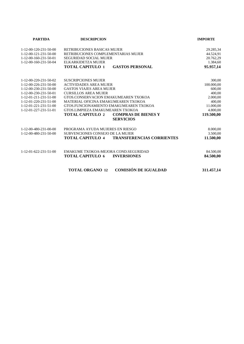| <b>PARTIDA</b>                      | <b>DESCRIPCION</b>                                          | <b>IMPORTE</b> |
|-------------------------------------|-------------------------------------------------------------|----------------|
| 1-12-00-120-231-50-00               | <b>RETRIBUCIONES BASICAS MUJER</b>                          | 29.285,34      |
| 1-12-00-121-231-50-00               | RETRIBUCIONES COMPLEMENTARIAS MUJER                         | 44.524,91      |
| 1-12-00-160-231-50-01               | <b>SEGURIDAD SOCIAL MUJER</b>                               | 20.762,29      |
| 1-12-00-160-231-50-04               | ELKARKIDETZA MUJER                                          | 1.384,60       |
|                                     | <b>TOTAL CAPITULO 1</b><br><b>GASTOS PERSONAL</b>           | 95.957,14      |
| 1-12-00-220-231-50-02               | <b>SUSCRIPCIONES MUJER</b>                                  | 300,00         |
| $1-12-00-226-231-50-00$             | <b>ACTIVIDADES AREA MUJER</b>                               | 100.000,00     |
| 1-12-00-230-231-50-00               | <b>GASTOS VIAJES AREA MUJER</b>                             | 600,00         |
| $1 - 12 - 00 - 230 - 231 - 50 - 01$ | <b>CURSILLOS AREA MUJER</b>                                 | 400,00         |
| 1-12-01-211-231-51-00               | GTOS.CONSERVACION EMAKUMEAREN TXOKOA                        | 2.000,00       |
| $1-12-01-220-231-51-00$             | MATERIAL OFICINA EMAKUMEAREN TXOKOA                         | 400,00         |
| 1-12-01-221-231-51-00               | GTOS.FUNCIONAMIENTO EMAKUMEAREN TXOKOA                      | 11.000,00      |
| $1-12-01-227-231-51-01$             | GTOS.LIMPIEZA EMAKUMEAREN TXOKOA                            | 4.800,00       |
|                                     | <b>TOTAL CAPITULO 2</b><br><b>COMPRAS DE BIENES Y</b>       | 119.500,00     |
|                                     | <b>SERVICIOS</b>                                            |                |
| 1-12-00-480-231-00-00               | PROGRAMA AYUDA MUJERES EN RIESGO                            | 8.000,00       |
| 1-12-00-480-231-50-00               | <b>SUBVENCIONES CONSEJO DE LA MUJER</b>                     | 3.500,00       |
|                                     | <b>TRANSFERENCIAS CORRIENTES</b><br><b>TOTAL CAPITULO 4</b> | 11.500,00      |
| $1-12-01-622-231-51-00$             | EMAKUME TXOKOA-MEJORA COND.SEGURIDAD                        | 84.500,00      |
|                                     | <b>TOTAL CAPITULO 6</b><br><b>INVERSIONES</b>               | 84.500,00      |
|                                     | <b>COMISIÓN DE IGUALDAD</b><br><b>TOTAL ORGANO 12</b>       | 311.457,14     |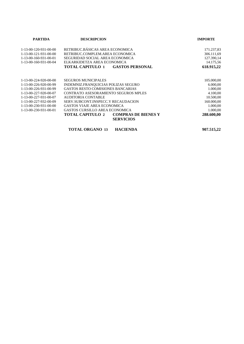| <b>PARTIDA</b>                      | <b>DESCRIPCION</b>                                                        | <b>IMPORTE</b> |
|-------------------------------------|---------------------------------------------------------------------------|----------------|
| $1-13-00-120-931-00-00$             | RETRIBUC.BÁSICAS AREA ECONOMICA                                           | 171.237,83     |
| $1-13-00-121-931-00-00$             | RETRIBUC.COMPLEM.AREA ECONOMICA                                           | 306.111,69     |
| $1 - 13 - 00 - 160 - 931 - 00 - 01$ | SEGURIDAD SOCIAL AREA ECONOMICA                                           | 127.390,14     |
| 1-13-00-160-931-00-04               | ELKARKIDETZA AREA ECONOMICA                                               | 14.175,56      |
|                                     | TOTAL CAPITULO 1<br><b>GASTOS PERSONAL</b>                                | 618.915,22     |
|                                     |                                                                           |                |
| 1-13-00-224-920-00-00               | <b>SEGUROS MUNICIPALES</b>                                                | 105.000,00     |
| 1-13-00-226-920-00-99               | INDEMNIZ.FRANQUICIAS POLIZAS SEGURO                                       | 6.000,00       |
| 1-13-00-226-931-00-99               | <b>GASTOS RESTO COMISIONES BANCARIAS</b>                                  | 1.000,00       |
| 1-13-00-227-920-00-07               | <b>CONTRATO ASESORAMIENTO SEGUROS MPLES</b>                               | 4.100,00       |
| 1-13-00-227-931-00-07               | AUDITORIA CONTABLE                                                        | 10.500,00      |
| 1-13-00-227-932-00-09               | SERV.SUBCONT.INSPECC.Y RECAUDACION                                        | 160.000,00     |
| $1 - 13 - 00 - 230 - 931 - 00 - 00$ | GASTOS VIAJE AREA ECONOMICA                                               | 1.000,00       |
| 1-13-00-230-931-00-01               | <b>GASTOS CURSILLO AREA ECONOMICA</b>                                     | 1.000,00       |
|                                     | <b>COMPRAS DE BIENES Y</b><br><b>TOTAL CAPITULO 2</b><br><b>SERVICIOS</b> | 288.600,00     |
|                                     |                                                                           |                |

**TOTAL ORGANO 13 HACIENDA 907.515,22**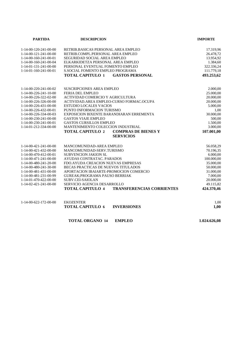| <b>PARTIDA</b>                      | <b>DESCRIPCION</b>                                          | <b>IMPORTE</b> |
|-------------------------------------|-------------------------------------------------------------|----------------|
|                                     |                                                             |                |
| 1-14-00-120-241-00-00               | RETRIB.BASICAS PERSONAL AREA EMPLEO                         | 17.319,96      |
| 1-14-00-121-241-00-00               | RETRIB.COMPL.PERSONAL AREA EMPLEO                           | 26.478,72      |
| 1-14-00-160-241-00-01               | SEGURIDAD SOCIAL AREA EMPLEO                                | 13.954,92      |
| 1-14-00-160-241-00-04               | ELKARKIDETZA PERSONAL AREA EMPLEO                           | 1.384,60       |
| 1-14-01-131-241-00-00               | PERSONAL EVENTUAL FOMENTO EMPLEO                            | 322.336,24     |
| 1-14-01-160-241-00-01               | S.SOCIAL FOMENTO EMPLEO PROGRAMA                            | 111.779,18     |
|                                     | <b>TOTAL CAPITULO 1</b><br><b>GASTOS PERSONAL</b>           | 493.253,62     |
|                                     |                                                             |                |
| 1-14-00-220-241-00-02               | <b>SUSCRIPCIONES AREA EMPLEO</b>                            | 2.000,00       |
| 1-14-00-226-241-10-00               | FERIA DEL EMPLEO                                            | 25.000,00      |
| $1-14-00-226-322-02-00$             | ACTIVIDAD COMERCIO Y AGRICULTURA                            | 20.000,00      |
| 1-14-00-226-326-00-00               | ACTIVIDAD. AREA EMPLEO-CURSO FORMAC. OCUPA                  | 20.000,00      |
| $1-14-00-226-431-00-00$             | <b>ESTUDIO LOCALES VACIOS</b>                               | 5.000,00       |
| 1-14-00-226-432-00-01               | PUNTO INFORMACION TURISMO                                   | 1,00           |
| 1-14-00-226-334-00-03               | EXPOSICION BIXENTE BARANDIARAN ERREMENTA                    | 30.000,00      |
| 1-14-00-230-241-00-00               | <b>GASTOS VIAJE EMPLEO</b>                                  | 500,00         |
| $1-14-00-230-241-00-01$             | <b>GASTOS CURSILLOS EMPLEO</b>                              | 1.500,00       |
| 1-14-01-212-334-00-00               | MANTENIMIENTO COLECCION INDUSTRIAL                          | 3.000,00       |
|                                     | <b>TOTAL CAPITULO 2</b><br><b>COMPRAS DE BIENES Y</b>       | 107.001,00     |
|                                     | <b>SERVICIOS</b>                                            |                |
| 1-14-00-421-241-00-00               | MANCOMUNIDAD-AREA EMPLEO                                    | 56.058,29      |
| 1-14-00-421-432-00-00               | MANCOMUNIDAD-SERV.TURISMO                                   | 70.196,35      |
| 1-14-00-470-412-00-01               | <b>SUBVENCION JAKION SL</b>                                 | 6.000,00       |
| 1-14-00-471-241-00-00               | AYUDAS CONTRATAC. PARADOS                                   | 100.000,00     |
| 1-14-00-480-241-20-00               | FDO.AYUDA CREACION NUEVAS EMPRESAS                          | 35.000,00      |
| 1-14-00-480-241-30-00               | BECAS PRACTICAS DE NUEVOS TITULADOS                         | 50.000,00      |
| 1-14-00-481-431-00-00               | APORTACION IBAIARTE-PROMOCION COMERCIO                      | 31.000,00      |
| 1-14-00-481-231-00-99               | GUREAK; PROGRAMA PAUSO BERRIAK                              | 7.000,00       |
| 1-14-01-470-422-00-00               | <b>SUBV.CEI-SAIOLAN</b>                                     | 20.000,00      |
| $1 - 14 - 02 - 421 - 241 - 00 - 00$ | <b>SERVICIO AGENCIA DESARROLLO</b>                          | 49.115,82      |
|                                     | <b>TRANSFERENCIAS CORRIENTES</b><br><b>TOTAL CAPITULO 4</b> | 424.370,46     |
|                                     |                                                             |                |
| $1-14-00-622-172-00-00$             | <b>EKOZENTER</b>                                            | 1,00           |
|                                     | <b>TOTAL CAPITULO 6</b><br><b>INVERSIONES</b>               | 1,00           |
|                                     |                                                             |                |
|                                     | <b>TOTAL ORGANO 14</b><br><b>EMPLEO</b>                     | 1.024.626,08   |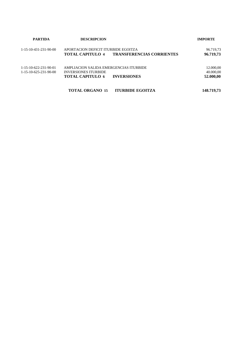| <b>PARTIDA</b>                                               | <b>DESCRIPCION</b>                                                                                                     | <b>IMPORTE</b>                      |
|--------------------------------------------------------------|------------------------------------------------------------------------------------------------------------------------|-------------------------------------|
| 1-15-10-431-231-90-00                                        | APORTACION DEFICIT ITURBIDE EGOITZA<br><b>TRANSFERENCIAS CORRIENTES</b><br><b>TOTAL CAPITULO 4</b>                     | 96.719,73<br>96.719,73              |
| 1-15-10-622-231-90-01<br>$1 - 15 - 10 - 625 - 231 - 90 - 00$ | AMPLIACION SALIDA EMERGENCIAS ITURBIDE<br><b>INVERSIONES ITURBIDE</b><br><b>INVERSIONES</b><br><b>TOTAL CAPITULO 6</b> | 12.000,00<br>40.000,00<br>52.000,00 |
|                                                              | <b>TOTAL ORGANO 15</b><br><b>ITURBIDE EGOITZA</b>                                                                      | 148.719,73                          |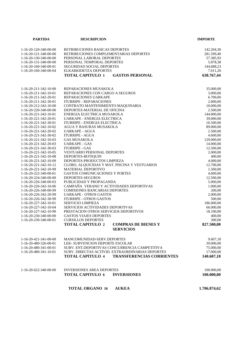| <b>PARTIDA</b>          | <b>DESCRIPCION</b>                                                        | <b>IMPORTE</b> |
|-------------------------|---------------------------------------------------------------------------|----------------|
|                         |                                                                           |                |
| 1-16-20-120-340-00-00   | RETRIBUCIONES BASICAS DEPORTES                                            | 142.204,30     |
| 1-16-20-121-340-00-00   | RETRIBUCIONES COMPLEMENTARIAS DEPORTES                                    | 281.599,40     |
| 1-16-20-130-340-00-00   | PERSONAL LABORAL DEPORTES                                                 | 57.385,93      |
| 1-16-20-131-340-00-00   | PERSONAL TEMPORAL DEPORTES                                                | 5.878,38       |
| 1-16-20-160-340-00-01   | SEGURIDAD SOCIAL DEPORTES                                                 | 144.688,23     |
| 1-16-20-160-340-00-04   | ELKARKIDETZA DEPORTES                                                     | 7.011,20       |
|                         | <b>TOTAL CAPITULO 1</b><br><b>GASTOS PERSONAL</b>                         | 638.767,44     |
|                         |                                                                           |                |
|                         |                                                                           |                |
| 1-16-20-211-342-10-00   | REPARACIONES MUSAKOLA                                                     | 35.000,00      |
| 1-16-20-211-342-10-01   | REPARACIONES CON CARGO A SEGUROS                                          | 3.000,00       |
| 1-16-20-211-342-20-01   | REPARACIONES UARKAPE                                                      | 6.700,00       |
| 1-16-20-211-342-30-01   | <b>ITURRIPE - REPARACIONES</b>                                            | 2.000,00       |
| 1-16-20-212-342-10-00   | CONTRATO MANTENIMIENTO MAQUINARIA                                         | 10.000,00      |
| 1-16-20-220-340-00-00   | DEPORTES-MATERIAL DE OFICINA                                              | 2.500,00       |
| 1-16-20-221-342-10-01   | ENERGIA ELECTRICA MUSAKOLA                                                | 144.000,00     |
| 1-16-20-221-342-20-01   | UARKAPE - ENERGIA ELECTRICA                                               | 39.000,00      |
| 1-16-20-221-342-30-01   | <b>ITURRIPE - ENERGIA ELECTRICA</b>                                       | 16.500,00      |
| 1-16-20-221-342-10-02   | AGUA Y BASURAS MUSAKOLA                                                   | 89.000,00      |
| 1-16-20-221-342-20-02   | <b>UARKAPE - AGUA</b>                                                     | 2.500,00       |
| 1-16-20-221-342-30-02   | <b>ITURRIPE - AGUA</b>                                                    | 4.600,00       |
| 1-16-20-221-342-10-03   | <b>GAS MUSAKOLA</b>                                                       | 129.000,00     |
| 1-16-20-221-342-20-03   | <b>UARKAPE - GAS</b>                                                      | 14.000,00      |
| 1-16-20-221-342-30-03   | <b>ITURRIPE - GAS</b>                                                     | 12.500,00      |
| 1-16-20-221-342-10-05   | <b>VESTUARIO PERSONAL DEPORTES</b>                                        | 2.000,00       |
| 1-16-20-221-342-10-08   | DEPORTES-BOTIQUIN                                                         | 400,00         |
| 1-16-20-221-342-10-09   | DEPORTES-PRODUCTOS LIMPIEZA                                               | 4.000,00       |
| 1-16-20-221-342-10-12   | CLORO, ALQUICIDAS Y MAT. PISCINA Y VESTUARIOS                             | 12.700,00      |
| 1-16-20-221-342-10-99   | <b>MATERIAL DEPORTIVO</b>                                                 | 1.500,00       |
| 1-16-20-222-340-00-01   | <b>GASTOS COMUNICACIONES Y PORTES</b>                                     | 4.600,00       |
| 1-16-20-224-340-00-00   | DEPORTES-SEGUROS                                                          | 12.500,00      |
| 1-16-20-226-340-00-03   | PUBLICIDAD Y PROPAGANDA                                                   | 5.000,00       |
| 1-16-20-226-342-10-06   | CAMPAÑA VERANO Y ACTIVIDADES DEPORTIVAS                                   | 1.000,00       |
| 1-16-20-226-340-00-99   | <b>COMISIONES BANCARIAS DEPORTES</b>                                      | 200,00         |
| 1-16-20-226-342-20-99   | <b>UARKAPE - OTROS GASTOS</b>                                             | 2.000,00       |
| 1-16-20-226-342-30-99   | <b>ITURRIPE - OTROS GASTOS</b>                                            | 500,00         |
| 1-16-20-227-342-10-01   | <b>SERVICIO LIMPIEZA</b>                                                  | 186.000,00     |
| 1-16-20-227-342-10-04   | SERVICIOS ACTIVIDADES DEPORTIVAS                                          | 66.000,00      |
| 1-16-20-227-342-10-99   | PRESTACION OTROS SERVICIOS DEPORTIVOS                                     | 18.100,00      |
| 1-16-20-230-340-00-00   | <b>GASTOS VIAJES DEPORTES</b>                                             | 400,00         |
| 1-16-20-230-340-00-01   | <b>CURSILLOS DEPORTES</b>                                                 | 300,00         |
|                         | <b>TOTAL CAPITULO 2</b><br><b>COMPRAS DE BIENES Y</b><br><b>SERVICIOS</b> | 827.500,00     |
|                         |                                                                           |                |
| 1-16-20-421-341-00-00   | MANCOMUNIDAD-SERV.DEPORTES                                                | 9.607,18       |
| 1-16-20-480-326-00-01   | LEK- SUBVENCION DEPORTE ESCOLAR                                           | 39.000,00      |
| 1-16-20-480-341-00-01   | SUBV. ENT.DEPORTIVAS CONCURRENCIA CAMPETITIVA                             | 75.000,00      |
| 1-16-20-480-341-10-01   | SUBV. DIRECTAS ACTIVID. EXTRAORDINARIAS DEPORTES                          | 17.000,00      |
|                         | <b>TOTAL CAPITULO 4</b><br><b>TRANSFERENCIAS CORRIENTES</b>               | 140.607,18     |
|                         |                                                                           |                |
| $1-16-20-622-340-00-00$ | <b>INVERSIONES AREA DEPORTES</b>                                          | 100.000,00     |
|                         | <b>TOTAL CAPITULO 6</b><br><b>INVERSIONES</b>                             | 100.000,00     |
|                         | <b>TOTAL ORGANO 16</b>                                                    | 1.706.874,62   |
|                         | <b>AUKEA</b>                                                              |                |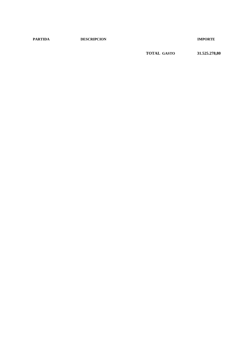**PARTIDA DESCRIPCION IMPORTE**

**TOTAL GASTO 31.525.278,80**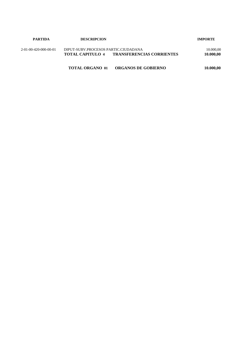| PARTIDA               | <b>DESCRIPCION</b>                                                                                  | <b>IMPORTE</b>         |
|-----------------------|-----------------------------------------------------------------------------------------------------|------------------------|
| 2-01-00-420-000-00-01 | DIPUT-SUBV.PROCESOS PARTIC.CIUDADANA<br><b>TRANSFERENCIAS CORRIENTES</b><br><b>TOTAL CAPITULO 4</b> | 10.000,00<br>10.000,00 |
|                       | <b>ORGANOS DE GOBIERNO</b><br><b>TOTAL ORGANO 01</b>                                                | 10.000,00              |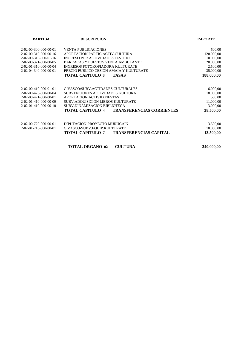| <b>PARTIDA</b>                      | <b>DESCRIPCION</b>                                          | <b>IMPORTE</b> |  |
|-------------------------------------|-------------------------------------------------------------|----------------|--|
| 2-02-00-300-000-00-01               | <b>VENTA PUBLICACIONES</b>                                  | 500,00         |  |
| $2 - 02 - 00 - 310 - 000 - 00 - 16$ | APORTACION PARTIC.ACTIV.CULTURA                             | 120.000,00     |  |
| $2-02-00-310-000-01-16$             | <b>INGRESO POR ACTIVIDADES FESTEJO</b>                      | 10.000,00      |  |
| 2-02-00-321-000-00-05               | BARRACAS Y PUESTOS VENTA AMBULANTE                          | 20.000,00      |  |
| 2-02-01-310-000-00-04               | INGRESOS FOTOKOPIADORA KULTURATE                            | 2.500,00       |  |
| 2-02-04-340-000-00-01               | PRECIO PUBLICO CESION AMAIA Y KULTURATE                     | 35.000,00      |  |
|                                     | <b>TOTAL CAPITULO 3</b><br><b>TASAS</b>                     | 188.000,00     |  |
|                                     |                                                             |                |  |
| 2-02-00-410-000-01-01               | <b>G.VASCO:SUBV.ACTIDADES CULTURALES</b>                    | 6.000,00       |  |
| 2-02-00-420-000-00-04               | SUBVENCIONES ACTIVIDADES KULTURA                            | 18.000,00      |  |
| 2-02-00-471-000-00-01               | APORTACION ACTIVID FIESTAS                                  | 500,00         |  |
| 2-02-01-410-000-00-09               | <b>SUBV.ADOUISICION LIBROS KULTURATE</b>                    | 11.000,00      |  |
| $2 - 02 - 01 - 410 - 000 - 00 - 10$ | SUBV.DINAMIZACION BIBLIOTECA                                | 3.000,00       |  |
|                                     | <b>TOTAL CAPITULO 4</b><br><b>TRANSFERENCIAS CORRIENTES</b> | 38.500,00      |  |
|                                     |                                                             |                |  |
| 2-02-00-720-000-00-01               | DIPUTACION-PROYECTO MURUGAIN                                | 3.500,00       |  |
| 2-02-01-710-000-00-01               | G.VASCO-SUBV.EQUIP.KULTURATE                                | 10.000,00      |  |
|                                     | <b>TOTAL CAPITULO 7</b><br><b>TRANSFERENCIAS CAPITAL</b>    | 13.500,00      |  |
|                                     |                                                             |                |  |

| <b>TOTAL ORGANO 02</b> | <b>CULTURA</b> | 240.000,00 |
|------------------------|----------------|------------|
|------------------------|----------------|------------|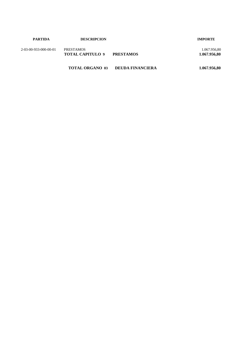| <b>PARTIDA</b>        | <b>DESCRIPCION</b>                          |                         | <b>IMPORTE</b>               |
|-----------------------|---------------------------------------------|-------------------------|------------------------------|
| 2-03-00-933-000-00-01 | <b>PRESTAMOS</b><br><b>TOTAL CAPITULO 9</b> | <b>PRESTAMOS</b>        | 1.067.956,80<br>1.067.956,80 |
|                       | <b>TOTAL ORGANO 03</b>                      | <b>DEUDA FINANCIERA</b> | 1.067.956,80                 |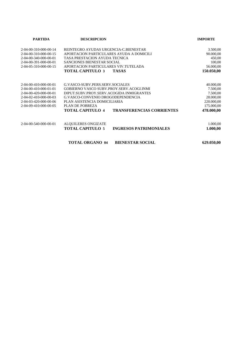| <b>PARTIDA</b>        | <b>DESCRIPCION</b>                                          | <b>IMPORTE</b> |
|-----------------------|-------------------------------------------------------------|----------------|
| 2-04-00-310-000-00-14 | REINTEGRO AYUDAS URGENCIA-C.BIENESTAR                       | 3.500,00       |
| 2-04-00-310-000-00-15 | APORTACION PARTICULARES AYUDA A DOMICILI                    | 90.000,00      |
| 2-04-00-340-000-00-01 | TASA PRESTACION AYUDA TECNICA                               | 450,00         |
| 2-04-00-391-000-00-01 | SANCIONES BIENESTAR SOCIAL                                  | 100,00         |
| 2-04-05-310-000-00-15 | APORTACION PARTICULARES VIV.TUTELADA                        | 56.000,00      |
|                       | <b>TOTAL CAPITULO 3</b><br><b>TASAS</b>                     | 150.050,00     |
| 2-04-00-410-000-00-01 | G.VASCO-SUBV.PERS.SERV.SOCIALES                             | 40.000,00      |
| 2-04-00-410-000-01-01 | GOBIERNO VASCO SUBV.PROY.SERV.ACOGI.INMI                    | 7.500,00       |
| 2-04-00-420-000-00-01 | DIPUT.SUBV.PROY.SERV.ACOGIDA INMIGRANTES                    | 7.500,00       |
| 2-04-02-410-000-00-03 | G.VASCO-CONVENIO DROGODEPENDENCIA                           | 28.000,00      |
| 2-04-03-420-000-00-06 | PLAN ASISTENCIA DOMICILIARIA                                | 220.000,00     |
| 2-04-09-410-000-00-05 | PLAN DE POBREZA                                             | 175.000,00     |
|                       | <b>TRANSFERENCIAS CORRIENTES</b><br><b>TOTAL CAPITULO 4</b> | 478.000,00     |
| 2-04-00-540-000-00-01 | <b>ALQUILERES ONGIZATE</b>                                  | 1.000,00       |
|                       | <b>TOTAL CAPITULO 5</b><br><b>INGRESOS PATRIMONIALES</b>    | 1.000,00       |
|                       | <b>TOTAL ORGANO 04</b><br><b>BIENESTAR SOCIAL</b>           | 629.050,00     |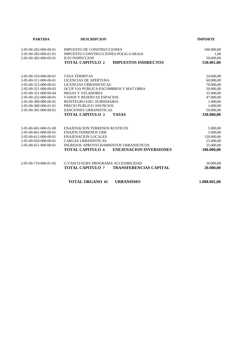| <b>PARTIDA</b>                           | <b>DESCRIPCION</b>                                        | <b>IMPORTE</b> |
|------------------------------------------|-----------------------------------------------------------|----------------|
| 2-05-00-282-000-00-01                    | <b>IMPUESTO DE CONSTRUCCIONES</b>                         | 500.000,00     |
| 2-05-00-282-000-01-01                    | IMPUESTO CONSTRUCCIONES POLIG.GARAIA                      | 1,00           |
| 2-05-00-282-000-02-01                    | <b>ICIO INSPECCION</b>                                    | 50.000,00      |
|                                          | <b>TOTAL CAPITULO 2</b><br><b>IMPUESTOS INDIRECTOS</b>    | 550.001,00     |
| 2-05-00-310-000-00-01                    | <b>TASA TERMITAS</b>                                      | 24.000,00      |
| 2-05-00-311-000-00-01                    | LICENCIAS DE APERTURA                                     | 60.000,00      |
| 2-05-00-312-000-00-01                    | LICENCIAS URBANISTICAS                                    | 70.000,00      |
| 2-05-00-321-000-00-03                    | OCUP.VIA PUBLICA-ESCOMBROS Y MAT.OBRA                     | 50.000,00      |
| 2-05-00-321-000-00-04                    | <b>MESAS Y VELADORES</b>                                  | 35.000,00      |
| 2-05-00-322-000-00-01                    | VADOS Y RESERVAS ESPACIOS                                 | 47.000,00      |
| 2-05-00-380-000-00-01                    | REINTEGRO EJEC.SUBSIDIARIA                                | 1.000,00       |
| 2-05-00-380-000-01-01                    | PRECIO PUBLICO ANUNCIOS                                   | 1.000,00       |
| 2-05-00-391-000-00-01                    | SANCIONES URBANISTICAS                                    | 50.000,00      |
|                                          | <b>TOTAL CAPITULO 3</b><br><b>TASAS</b>                   | 338.000,00     |
| 2-05-00-601-000-01-00                    | <b>ENAJENACION TERRENOS RUSTICOS</b>                      | 5.000,00       |
| $2 - 0.5 - 0.0 - 601 - 0.00 - 0.0 - 0.1$ | <b>ENAJEN.TERRENOS URB.</b>                               | 5.000,00       |
| 2-05-00-612-000-00-01                    | <b>ENAJENACION LOCALES</b>                                | 120.000,00     |
| 2-05-00-650-000-00-01                    | <b>CARGAS URBANISTICAS</b>                                | 25.000,00      |
| 2-05-00-651-000-00-01                    | INGRESOS APROVECHAMIENTOS URBANISTICOS                    | 25.000,00      |
|                                          | <b>TOTAL CAPITULO 6</b><br><b>ENEJENACION INVERSIONES</b> | 180.000,00     |
| 2-05-00-710-000-01-02                    | G.VASCO-SUBV.PROGRAMA ACCESIBILIDAD                       | 20.000,00      |
|                                          | <b>TOTAL CAPITULO 7</b><br><b>TRANSFERENCIAS CAPITAL</b>  | 20.000,00      |
|                                          |                                                           |                |

**TOTAL ORGANO 05 URBANISMO 1.088.001,00**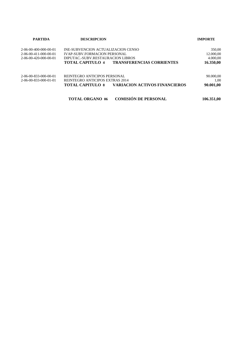| <b>PARTIDA</b>                      | <b>DESCRIPCION</b>                                              | <b>IMPORTE</b> |
|-------------------------------------|-----------------------------------------------------------------|----------------|
| 2-06-00-400-000-00-01               | INE-SUBVENCION ACTUALIZACION CENSO                              | 350,00         |
| $2 - 06 - 00 - 411 - 000 - 00 - 01$ | <b>IVAP-SUBV FORMACION PERSONAL</b>                             | 12.000,00      |
| 2-06-00-420-000-00-01               | DIPUTAC.-SUBV.RESTAURACION LIBROS                               | 4.000,00       |
|                                     | <b>TRANSFERENCIAS CORRIENTES</b><br>TOTAL CAPITULO 4            | 16.350,00      |
| 2-06-00-833-000-00-01               | REINTEGRO ANTICIPOS PERSONAL                                    | 90.000,00      |
| $2 - 06 - 00 - 833 - 000 - 01 - 01$ | REINTEGRO ANTICIPOS EXTRAS 2014                                 | 1.00           |
|                                     | <b>VARIACION ACTIVOS FINANCIEROS</b><br><b>TOTAL CAPITULO 8</b> | 90.001,00      |
|                                     | <b>COMISIÓN DE PERSONAL</b><br><b>TOTAL ORGANO 06</b>           | 106.351,00     |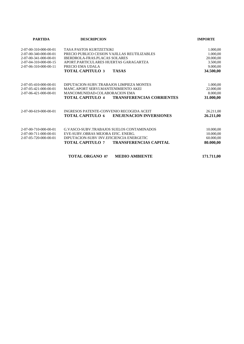| <b>PARTIDA</b>        | <b>DESCRIPCION</b>                                          | <b>IMPORTE</b> |
|-----------------------|-------------------------------------------------------------|----------------|
| 2-07-00-310-000-00-01 | TASA PASTOS KURTZETXIKI                                     | 1.000,00       |
| 2-07-00-340-000-00-01 | PRECIO PUBLICO CESION VAJILLAS REUTILIZABLES                | 1.000,00       |
| 2-07-00-341-000-00-01 | <b>IBERDROLA-FRAS.PLACAS SOLARES</b>                        | 20.000,00      |
| 2-07-04-310-000-00-15 | APORT.PARTICULARES HUERTAS GARAGARTZA                       | 3.500,00       |
| 2-07-06-310-000-00-11 | PRECIO EMA UDALA                                            | 9.000,00       |
|                       | <b>TOTAL CAPITULO 3</b><br><b>TASAS</b>                     | 34.500,00      |
| 2-07-05-410-000-00-01 | DIPUTACION-SUBV.TRABAJOS LIMPIEZA MONTES                    | 1.000,00       |
| 2-07-05-421-000-00-01 | MANC.APORT SERVI.MANTENIMIENTO AKEI                         | 22.000,00      |
| 2-07-06-421-000-00-01 | MANCOMUNIDAD-COLABORACION EMA                               | 8.000,00       |
|                       | <b>TOTAL CAPITULO 4</b><br><b>TRANSFERENCIAS CORRIENTES</b> | 31.000,00      |
| 2-07-00-619-000-00-01 | INGRESOS PATENTE-CONVENIO RECOGIDA ACEIT                    | 26.211,00      |
|                       | <b>TOTAL CAPITULO 6</b><br><b>ENEJENACION INVERSIONES</b>   | 26.211,00      |
| 2-07-00-710-000-00-01 | <b>G.VASCO-SUBV.TRABAJOS SUELOS CONTAMINADOS</b>            | 10.000,00      |
| 2-07-00-711-000-00-01 | EVE-SUBV OBRAS MEJORA EFIC. ENERG.                          | 10.000,00      |
| 2-07-05-720-000-00-01 | DIPUTACION-SUBV INV. EFICIENCIA ENERGETIC                   | 60.000,00      |
|                       | <b>TOTAL CAPITULO 7</b><br><b>TRANSFERENCIAS CAPITAL</b>    | 80.000,00      |
|                       | <b>TOTAL ORGANO 07</b><br><b>MEDIO AMBIENTE</b>             | 171.711,00     |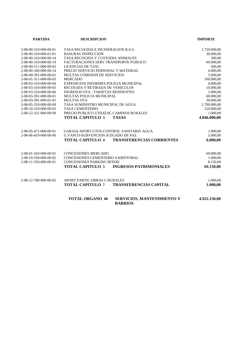| <b>PARTIDA</b>        | <b>DESCRIPCION</b>                                                     | <b>IMPORTE</b> |
|-----------------------|------------------------------------------------------------------------|----------------|
| 2-08-00-310-000-00-01 | TASA RECOGIDA E INCINERACION R.S.U.                                    | 1.720.000,00   |
| 2-08-00-310-000-01-01 | <b>BASURAS INSPECCION</b>                                              | 30.000,00      |
| 2-08-00-310-000-00-14 | TASA RECOGIDA Y CUSTODIA ANIMALES                                      | 500,00         |
| 2-08-00-310-000-00-19 | FACTURACIONES SERV.TRANSPORTE PUBLICO                                  | 60.000,00      |
| 2-08-00-311-000-00-02 | LICENCIAS DE TAXI                                                      | 500,00         |
| 2-08-00-340-000-00-14 | PRECIO SERVICIO PERSONAL Y MATERIAL                                    | 4.000,00       |
| 2-08-00-391-000-00-01 | MULTAS COMISION DE SERVICIOS                                           | 5.000,00       |
| 2-08-01-311-000-00-03 | <b>MERCADO</b>                                                         | 100.000,00     |
| 2-08-03-310-000-00-04 | EXPEDICION INFORMES POLICIA MUNICIPAL                                  | 4.000,00       |
| 2-08-03-310-000-00-05 | RECOGIDA Y RETIRADA DE VEHICULOS                                       | 10.000,00      |
| 2-08-03-310-000-00-06 | <b>INGRESOS OTA - TARJETAS RESIDENTES</b>                              | 1.000,00       |
| 2-08-03-391-000-00-01 | MULTAS POLICIA MUNICIPAL                                               | 60.000,00      |
| 2-08-03-391-000-01-01 | <b>MULTAS OTA</b>                                                      | 30.000,00      |
| 2-08-05-310-000-00-09 | TASA SUMINISTRO MUNICIPAL DE AGUA                                      | 2.700.000,00   |
| 2-08-10-310-000-00-03 | <b>TASA CEMENTERIO</b>                                                 | 120.000,00     |
| 2-08-12-321-000-00-99 | PRECIO PUBLICO UTILIZAC.CAMINOS RURALES                                | 1.000,00       |
|                       | <b>TOTAL CAPITULO 3</b><br><b>TASAS</b>                                | 4.846.000,00   |
| 2-08-05-471-000-00-01 | GARAIA-APORT.GTOS.CONTROL SANITARIO AGUA                               | 1.000,00       |
| 2-08-06-410-000-00-06 | <b>G.VASCO-SUBVENCION JUZGADO DE PAZ</b>                               | 5.000,00       |
|                       | <b>TOTAL CAPITULO 4</b><br><b>TRANSFERENCIAS CORRIENTES</b>            | 6.000,00       |
| 2-08-01-543-000-00-01 | <b>CONCESIONES MERCADO</b>                                             | 60.000,00      |
| 2-08-10-550-000-00-02 | CONCESIONES CEMENTERIO S.KRISTOBAL                                     | 1.000,00       |
| 2-08-11-550-000-00-01 | <b>CONCESIONES PARKING BITERI</b>                                      | 8.150,00       |
|                       | <b>TOTAL CAPITULO 5</b><br><b>INGRESOS PATRIMONIALES</b>               | 69.150,00      |
| 2-08-12-780-000-00-02 | APORT.PARTIC.OBRAS C.RURALES                                           | 1.000,00       |
|                       | <b>TRANSFERENCIAS CAPITAL</b><br><b>TOTAL CAPITULO 7</b>               | 1.000,00       |
|                       | <b>TOTAL ORGANO 08</b><br>SERVICIOS, MANTENIMIENTO Y<br><b>BARRIOS</b> | 4.922.150,00   |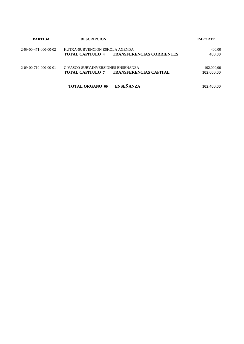| <b>PARTIDA</b>                      | <b>DESCRIPCION</b>                                                                             | <b>IMPORTE</b>           |
|-------------------------------------|------------------------------------------------------------------------------------------------|--------------------------|
| $2 - 09 - 00 - 471 - 000 - 00 - 02$ | KUTXA-SUBVENCION ESKOLA AGENDA<br><b>TRANSFERENCIAS CORRIENTES</b><br>TOTAL CAPITULO 4         | 400,00<br>400,00         |
| 2-09-00-710-000-00-01               | G.VASCO-SUBV.INVERSIONES ENSEÑANZA<br><b>TRANSFERENCIAS CAPITAL</b><br><b>TOTAL CAPITULO 7</b> | 102.000,00<br>102.000,00 |
|                                     | <b>ENSEÑANZA</b><br><b>TOTAL ORGANO 09</b>                                                     | 102.400,00               |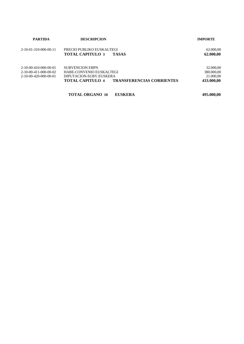| <b>PARTIDA</b>                      | <b>DESCRIPCION</b>                                          | <b>IMPORTE</b> |
|-------------------------------------|-------------------------------------------------------------|----------------|
| $2 - 10 - 01 - 310 - 000 - 00 - 11$ | PRECIO PUBLIKO EUSKALTEGI                                   | 62.000,00      |
|                                     | <b>TASAS</b><br><b>TOTAL CAPITULO 3</b>                     | 62.000,00      |
| $2-10-00-410-000-00-01$             | <b>SUBVENCION EBPN</b>                                      | 32.000,00      |
| $2-10-00-411-000-00-02$             | HABE-CONVENIO EUSKALTEGI                                    | 380.000,00     |
| $2-10-00-420-000-00-01$             | DIPUTACION-SUBV.EUSKERA                                     | 21.000.00      |
|                                     | <b>TRANSFERENCIAS CORRIENTES</b><br><b>TOTAL CAPITULO 4</b> | 433.000,00     |
|                                     | <b>TOTAL ORGANO 10</b><br><b>EUSKERA</b>                    | 495.000,00     |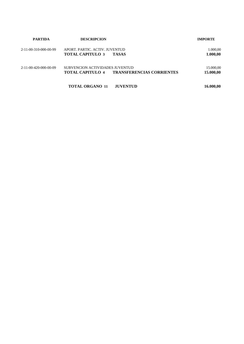| <b>PARTIDA</b>        | <b>DESCRIPCION</b>                                                                             | <b>IMPORTE</b>         |
|-----------------------|------------------------------------------------------------------------------------------------|------------------------|
| 2-11-00-310-000-00-99 | APORT. PARTIC. ACTIV. JUVENTUD<br><b>TOTAL CAPITULO 3</b><br><b>TASAS</b>                      | 1.000,00<br>1.000,00   |
| 2-11-00-420-000-00-09 | SUBVENCION ACTIVIDADES JUVENTUD<br><b>TRANSFERENCIAS CORRIENTES</b><br><b>TOTAL CAPITULO 4</b> | 15.000,00<br>15.000,00 |
|                       | <b>TOTAL ORGANO 11</b><br><b>JUVENTUD</b>                                                      | 16.000,00              |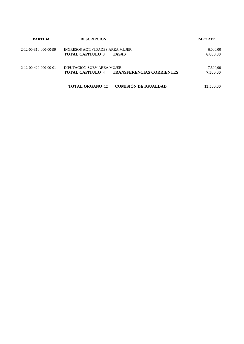| <b>PARTIDA</b>                      | <b>DESCRIPCION</b>                                                                        | <b>IMPORTE</b>       |
|-------------------------------------|-------------------------------------------------------------------------------------------|----------------------|
| 2-12-00-310-000-00-99               | INGRESOS ACTIVIDADES AREA MUJER<br><b>TOTAL CAPITULO 3</b><br><b>TASAS</b>                | 6.000,00<br>6.000,00 |
| $2 - 12 - 00 - 420 - 000 - 00 - 01$ | DIPUTACION-SUBV AREA MUJER<br><b>TRANSFERENCIAS CORRIENTES</b><br><b>TOTAL CAPITULO 4</b> | 7.500,00<br>7.500,00 |
|                                     | <b>COMISIÓN DE IGUALDAD</b><br><b>TOTAL ORGANO 12</b>                                     | 13.500,00            |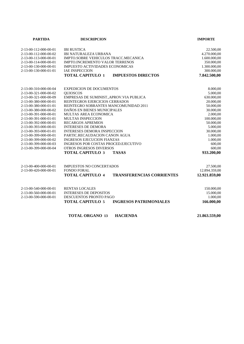| <b>PARTIDA</b>        | <b>DESCRIPCION</b>                                          | <b>IMPORTE</b> |  |
|-----------------------|-------------------------------------------------------------|----------------|--|
| 2-13-00-112-000-00-01 | <b>IBI RUSTICA</b>                                          | 22.500,00      |  |
| 2-13-00-112-000-00-02 | <b>IBI NATURALEZA URBANA</b>                                | 4.270.000,00   |  |
| 2-13-00-113-000-00-01 | IMPTO.SOBRE VEHICULOS TRACC.MECANICA                        | 1.600.000,00   |  |
| 2-13-00-114-000-00-01 | <b>IMPTO.INCREMENTO VALOR TERRENOS</b>                      | 350.000,00     |  |
| 2-13-00-130-000-00-01 | IMPUESTO ACTIVIDADES ECONOMICAS                             | 1.300.000,00   |  |
| 2-13-00-130-000-01-01 | <b>IAE INSPECCION</b>                                       | 300.000,00     |  |
|                       | <b>TOTAL CAPITULO 1</b><br><b>IMPUESTOS DIRECTOS</b>        | 7.842.500,00   |  |
| 2-13-00-310-000-00-04 | <b>EXPEDICION DE DOCUMENTOS</b>                             | 8.000,00       |  |
| 2-13-00-321-000-00-02 | <b>OUIOSCOS</b>                                             | 5.000,00       |  |
| 2-13-00-321-000-00-09 | EMPRESAS DE SUMINIST., APROV. VIA PUBLICA                   | 630.000,00     |  |
| 2-13-00-380-000-00-01 | REINTEGROS EJERCICIOS CERRADOS                              | 20.000,00      |  |
| 2-13-00-380-000-01-01 | REINTEGRO SOBRANTES MANCOMUNIDAD 2011                       | 50.000,00      |  |
| 2-13-00-380-000-00-02 | DAÑOS EN BIENES MUNICIPALES                                 | 30.000,00      |  |
| 2-13-00-391-000-00-01 | MULTAS AREA ECONOMICA                                       | 2.000,00       |  |
| 2-13-00-391-000-01-01 | MULTAS INSPECCION                                           | 100.000,00     |  |
| 2-13-00-392-000-00-01 | <b>RECARGOS APREMIOS</b>                                    | 50.000,00      |  |
| 2-13-00-393-000-00-01 | <b>INTERESES DE DEMORA</b>                                  | 5.000,00       |  |
| 2-13-00-393-000-01-01 | <b>INTERESES DEMORA INSPECCION</b>                          | 30.000,00      |  |
| 2-13-00-399-000-00-01 | PARTIC.RECAUDACION CANON AGUA                               | 1.000,00       |  |
| 2-13-00-399-000-00-02 | <b>INGRESOS EJECUCION FIANZAS</b>                           | 1.000,00       |  |
| 2-13-00-399-000-00-03 | INGRESOS POR COSTAS PROCED.EJECUTIVO                        | 600,00         |  |
| 2-13-00-399-000-00-04 | <b>OTROS INGRESOS DIVERSOS</b>                              | 600,00         |  |
|                       | <b>TOTAL CAPITULO 3</b><br><b>TASAS</b>                     | 933.200,00     |  |
| 2-13-00-400-000-00-01 | IMPUESTOS NO CONCERTADOS                                    | 27.500,00      |  |
| 2-13-00-420-000-00-01 | <b>FONDO FORAL</b>                                          | 12.894.359,00  |  |
|                       | <b>TOTAL CAPITULO 4</b><br><b>TRANSFERENCIAS CORRIENTES</b> | 12.921.859,00  |  |
| 2-13-00-540-000-00-01 | <b>RENTAS LOCALES</b>                                       | 150.000,00     |  |
| 2-13-00-560-000-00-01 | <b>INTERESES DE DEPOSITOS</b>                               | 15.000,00      |  |
| 2-13-00-590-000-00-01 | DESCUENTOS PRONTO PAGO                                      | 1.000,00       |  |
|                       | <b>TOTAL CAPITULO 5</b><br><b>INGRESOS PATRIMONIALES</b>    | 166.000,00     |  |
|                       | <b>TOTAL ORGANO 13</b><br><b>HACIENDA</b>                   | 21.863.559,00  |  |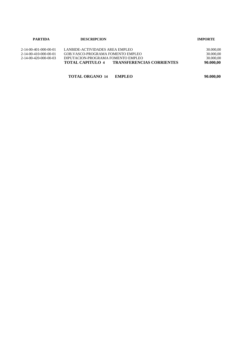| <b>PARTIDA</b>        | <b>DESCRIPCION</b>                                          | <b>IMPORTE</b> |
|-----------------------|-------------------------------------------------------------|----------------|
| 2-14-00-401-000-00-01 | LANBIDE-ACTIVIDADES AREA EMPLEO                             | 30.000,00      |
| 2-14-00-410-000-00-01 | GOB VASCO-PROGRAMA FOMENTO EMPLEO                           | 30.000,00      |
| 2-14-00-420-000-00-03 | DIPUTACION-PROGRAMA FOMENTO EMPLEO                          | 30.000,00      |
|                       | <b>TRANSFERENCIAS CORRIENTES</b><br><b>TOTAL CAPITULO 4</b> | 90.000.00      |

**TOTAL ORGANO 14 EMPLEO 90.000,00**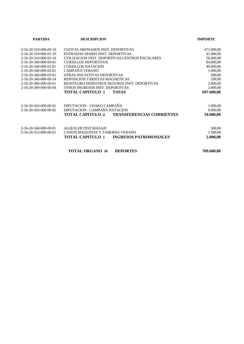| <b>PARTIDA</b>                      | <b>DESCRIPCION</b>                                          | <b>IMPORTE</b> |
|-------------------------------------|-------------------------------------------------------------|----------------|
| $2 - 16 - 20 - 310 - 000 - 00 - 10$ | CUOTAS ABONADOS INST. DEPORTIVAS                            | 471.000,00     |
| 2-16-20-310-000-01-10               | ENTRADAS DIARIO INST. DEPORTIVAS                            | 41.000,00      |
| $2-16-20-310-000-02-10$             | UTILIZACION INST. DEPORTIVAS CENTROS ESCOLARES              | 56.000,00      |
| 2-16-20-340-000-00-01               | <b>CURSILLOS DEPORTIVOS</b>                                 | 84.000,00      |
| 2-16-20-340-000-01-01               | <b>CURSILLOS NATACION</b>                                   | 40.000,00      |
| $2 - 16 - 20 - 340 - 000 - 02 - 01$ | CAMPAÑA VERANO                                              | 1.000,00       |
| $2 - 16 - 20 - 340 - 000 - 03 - 01$ | OTRAS INICIATIVAS DEPORTIVAS                                | 500,00         |
| 2-16-20-340-000-00-14               | REPOSICION TARJETAS MAGNETICAS                              | 100,00         |
| 2-16-20-380-000-00-01               | REINTEGRO SINIESTROS SEGUROS INST. DEPORTIVAS               | 2.000,00       |
| $2 - 16 - 20 - 399 - 000 - 00 - 04$ | OTROS INGRESOS INST. DEPORTIVAS                             | 2.000,00       |
|                                     | <b>TOTAL CAPITULO 3</b><br><b>TASAS</b>                     | 697.600,00     |
| 2-16-20-410-000-00-01               | DIPUTACION - UDAKO CAMPAÑA                                  | 1.000,00       |
| $2 - 16 - 20 - 420 - 000 - 00 - 02$ | DIPUTACION - CAMPAÑA NATACION                               | 9.000,00       |
|                                     | <b>TOTAL CAPITULO 4</b><br><b>TRANSFERENCIAS CORRIENTES</b> | 10.000,00      |
| 2-16-20-540-000-00-01               | ALQUILER INST.MASAJE                                        | 500,00         |
| 2-16-20-553-000-00-01               | CANON MAQUINAS Y TABERNA VERANO                             | 1.500,00       |
|                                     | <b>TOTAL CAPITULO 5</b><br><b>INGRESOS PATRIMONIALES</b>    | 2.000,00       |
|                                     | <b>TOTAL ORGANO 16</b><br><b>DEPORTES</b>                   | 709.600,00     |